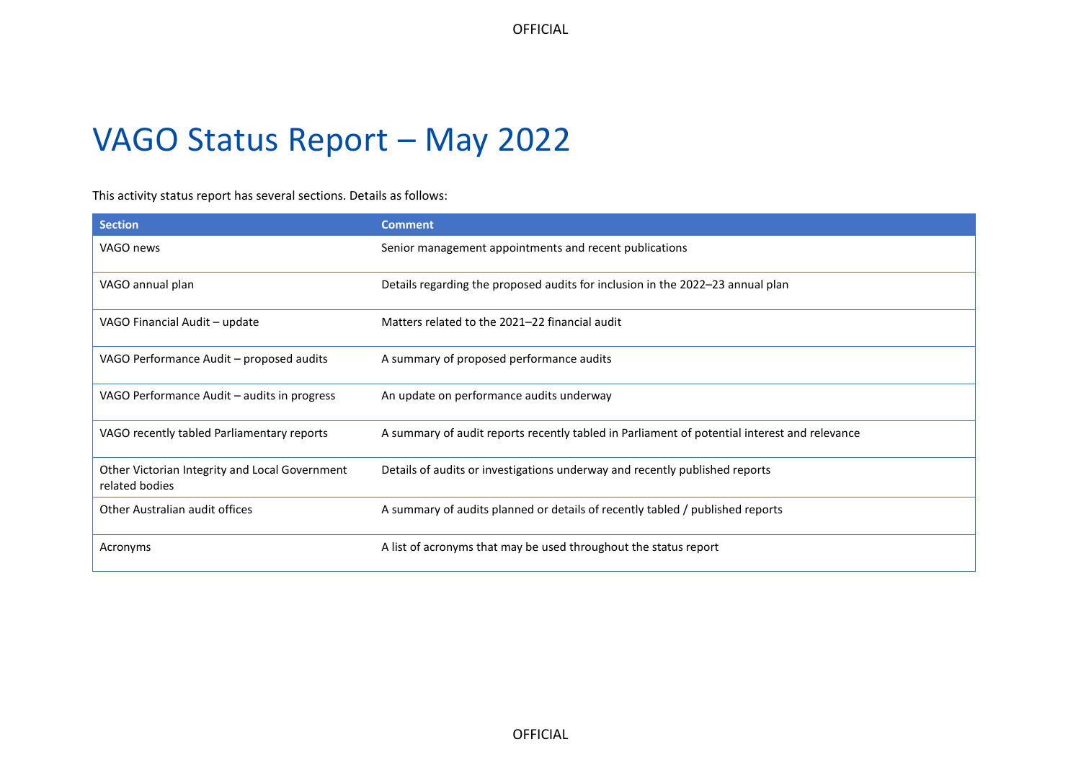# VAGO Status Report – May 2022

This activity status report has several sections. Details as follows:

| <b>Section</b>                                                   | <b>Comment</b>                                                                               |
|------------------------------------------------------------------|----------------------------------------------------------------------------------------------|
| VAGO news                                                        | Senior management appointments and recent publications                                       |
| VAGO annual plan                                                 | Details regarding the proposed audits for inclusion in the 2022-23 annual plan               |
| VAGO Financial Audit - update                                    | Matters related to the 2021-22 financial audit                                               |
| VAGO Performance Audit – proposed audits                         | A summary of proposed performance audits                                                     |
| VAGO Performance Audit – audits in progress                      | An update on performance audits underway                                                     |
| VAGO recently tabled Parliamentary reports                       | A summary of audit reports recently tabled in Parliament of potential interest and relevance |
| Other Victorian Integrity and Local Government<br>related bodies | Details of audits or investigations underway and recently published reports                  |
| Other Australian audit offices                                   | A summary of audits planned or details of recently tabled / published reports                |
| Acronyms                                                         | A list of acronyms that may be used throughout the status report                             |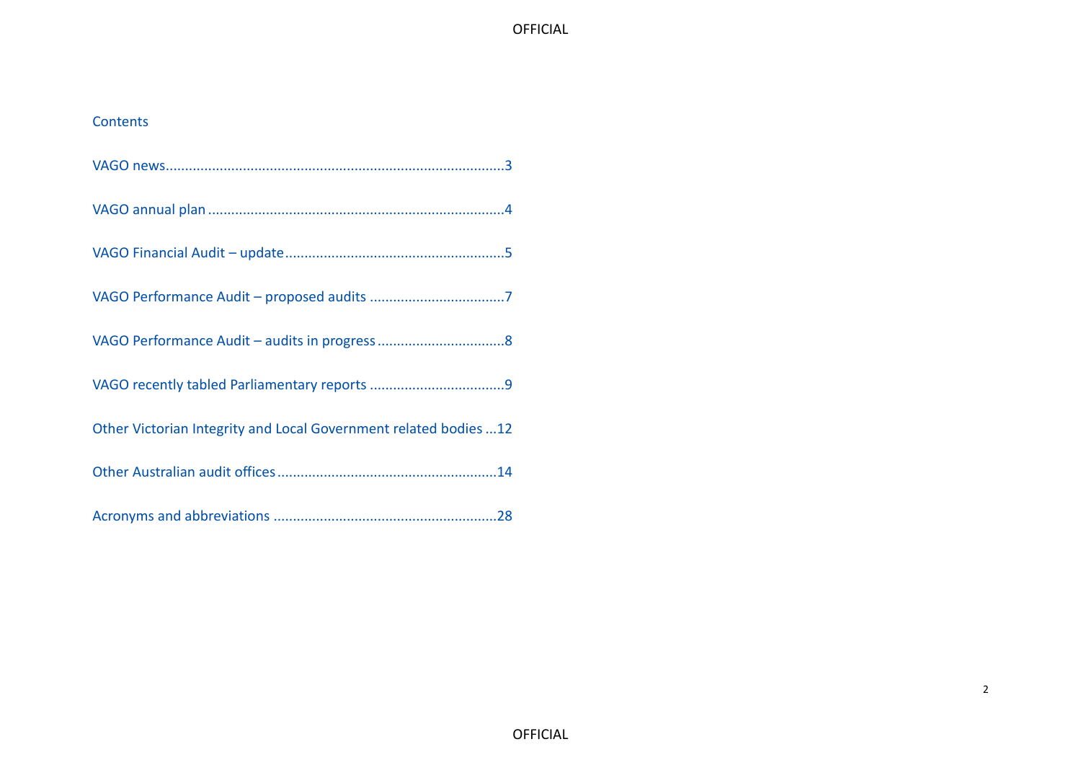### Contents

| Other Victorian Integrity and Local Government related bodies  12 |
|-------------------------------------------------------------------|
|                                                                   |
|                                                                   |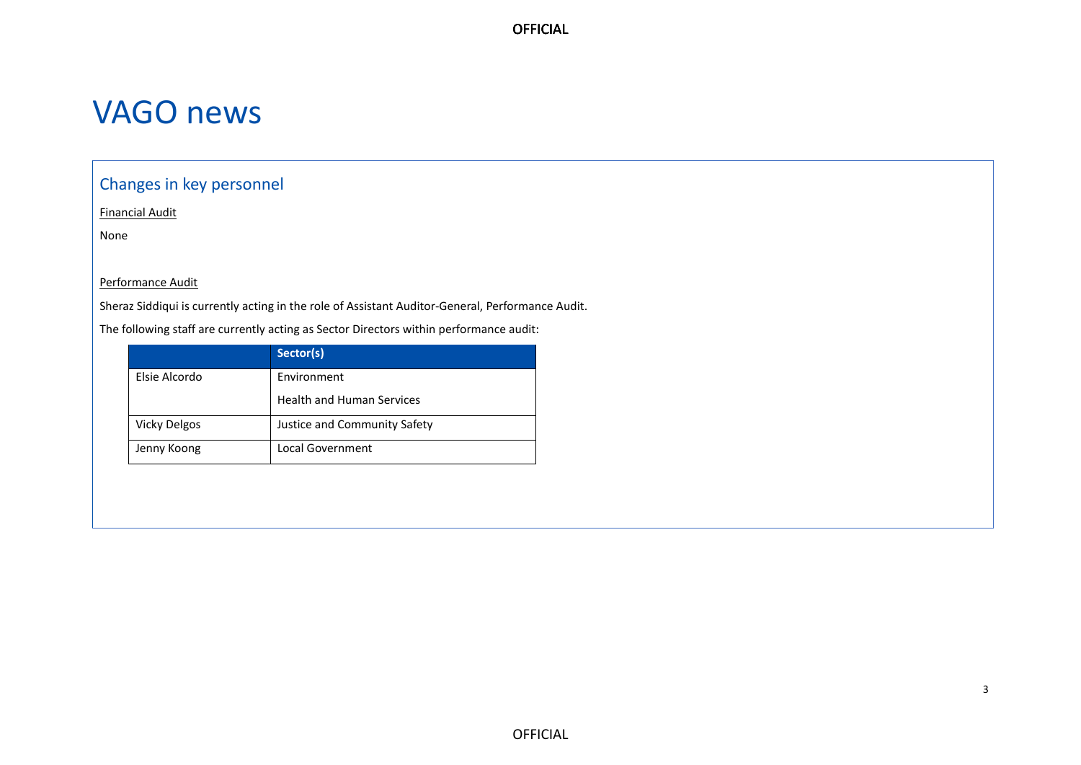# <span id="page-2-0"></span>VAGO news

## Changes in key personnel

Financial Audit

None

#### Performance Audit

Sheraz Siddiqui is currently acting in the role of Assistant Auditor-General, Performance Audit.

The following staff are currently acting as Sector Directors within performance audit:

|                     | Sector(s)                        |
|---------------------|----------------------------------|
| Elsie Alcordo       | Environment                      |
|                     | <b>Health and Human Services</b> |
| <b>Vicky Delgos</b> | Justice and Community Safety     |
| Jenny Koong         | Local Government                 |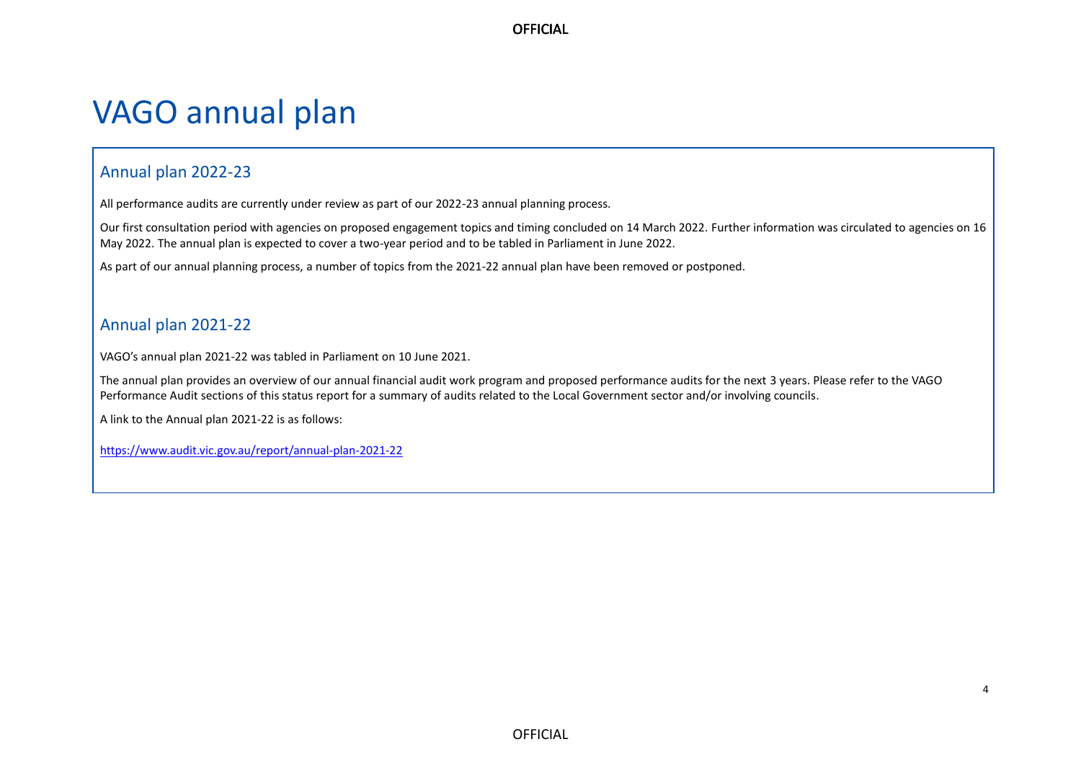# <span id="page-3-0"></span>VAGO annual plan

### Annual plan 2022-23

All performance audits are currently under review as part of our 2022-23 annual planning process.

Our first consultation period with agencies on proposed engagement topics and timing concluded on 14 March 2022. Further information was circulated to agencies on 16 May 2022. The annual plan is expected to cover a two-year period and to be tabled in Parliament in June 2022.

As part of our annual planning process, a number of topics from the 2021-22 annual plan have been removed or postponed.

## Annual plan 2021-22

VAGO's annual plan 2021-22 was tabled in Parliament on 10 June 2021.

The annual plan provides an overview of our annual financial audit work program and proposed performance audits for the next 3 years. Please refer to the VAGO Performance Audit sections of this status report for a summary of audits related to the Local Government sector and/or involving councils.

A link to the Annual plan 2021-22 is as follows:

<https://www.audit.vic.gov.au/report/annual-plan-2021-22>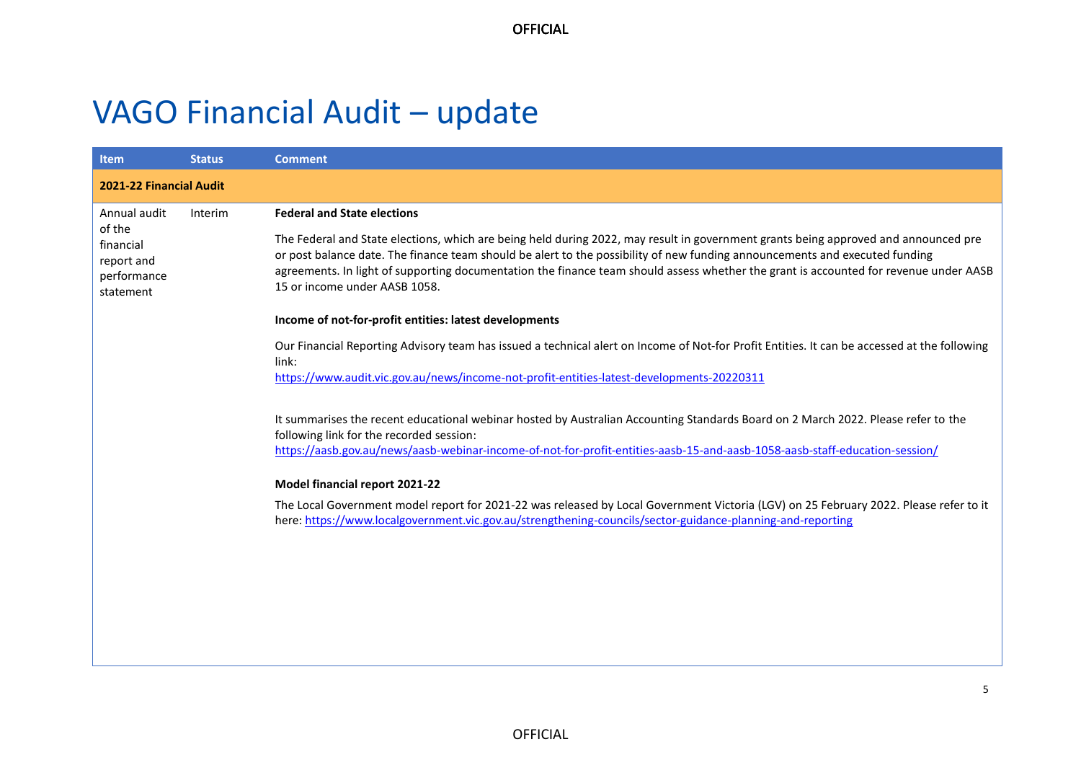# <span id="page-4-0"></span>VAGO Financial Audit – update

| <b>Item</b>                                                   | <b>Status</b>                  | <b>Comment</b>                                                                                                                                                                                                                                                                                                                                                                                                                               |  |  |  |  |
|---------------------------------------------------------------|--------------------------------|----------------------------------------------------------------------------------------------------------------------------------------------------------------------------------------------------------------------------------------------------------------------------------------------------------------------------------------------------------------------------------------------------------------------------------------------|--|--|--|--|
|                                                               | <b>2021-22 Financial Audit</b> |                                                                                                                                                                                                                                                                                                                                                                                                                                              |  |  |  |  |
| Annual audit                                                  | Interim                        | <b>Federal and State elections</b>                                                                                                                                                                                                                                                                                                                                                                                                           |  |  |  |  |
| of the<br>financial<br>report and<br>performance<br>statement |                                | The Federal and State elections, which are being held during 2022, may result in government grants being approved and announced pre<br>or post balance date. The finance team should be alert to the possibility of new funding announcements and executed funding<br>agreements. In light of supporting documentation the finance team should assess whether the grant is accounted for revenue under AASB<br>15 or income under AASB 1058. |  |  |  |  |
|                                                               |                                | Income of not-for-profit entities: latest developments                                                                                                                                                                                                                                                                                                                                                                                       |  |  |  |  |
|                                                               |                                | Our Financial Reporting Advisory team has issued a technical alert on Income of Not-for Profit Entities. It can be accessed at the following<br>link:                                                                                                                                                                                                                                                                                        |  |  |  |  |
|                                                               |                                | https://www.audit.vic.gov.au/news/income-not-profit-entities-latest-developments-20220311                                                                                                                                                                                                                                                                                                                                                    |  |  |  |  |
|                                                               |                                | It summarises the recent educational webinar hosted by Australian Accounting Standards Board on 2 March 2022. Please refer to the<br>following link for the recorded session:<br>https://aasb.gov.au/news/aasb-webinar-income-of-not-for-profit-entities-aasb-15-and-aasb-1058-aasb-staff-education-session/                                                                                                                                 |  |  |  |  |
|                                                               |                                | Model financial report 2021-22                                                                                                                                                                                                                                                                                                                                                                                                               |  |  |  |  |
|                                                               |                                | The Local Government model report for 2021-22 was released by Local Government Victoria (LGV) on 25 February 2022. Please refer to it<br>here: https://www.localgovernment.vic.gov.au/strengthening-councils/sector-guidance-planning-and-reporting                                                                                                                                                                                          |  |  |  |  |
|                                                               |                                |                                                                                                                                                                                                                                                                                                                                                                                                                                              |  |  |  |  |
|                                                               |                                |                                                                                                                                                                                                                                                                                                                                                                                                                                              |  |  |  |  |
|                                                               |                                |                                                                                                                                                                                                                                                                                                                                                                                                                                              |  |  |  |  |
|                                                               |                                |                                                                                                                                                                                                                                                                                                                                                                                                                                              |  |  |  |  |
|                                                               |                                |                                                                                                                                                                                                                                                                                                                                                                                                                                              |  |  |  |  |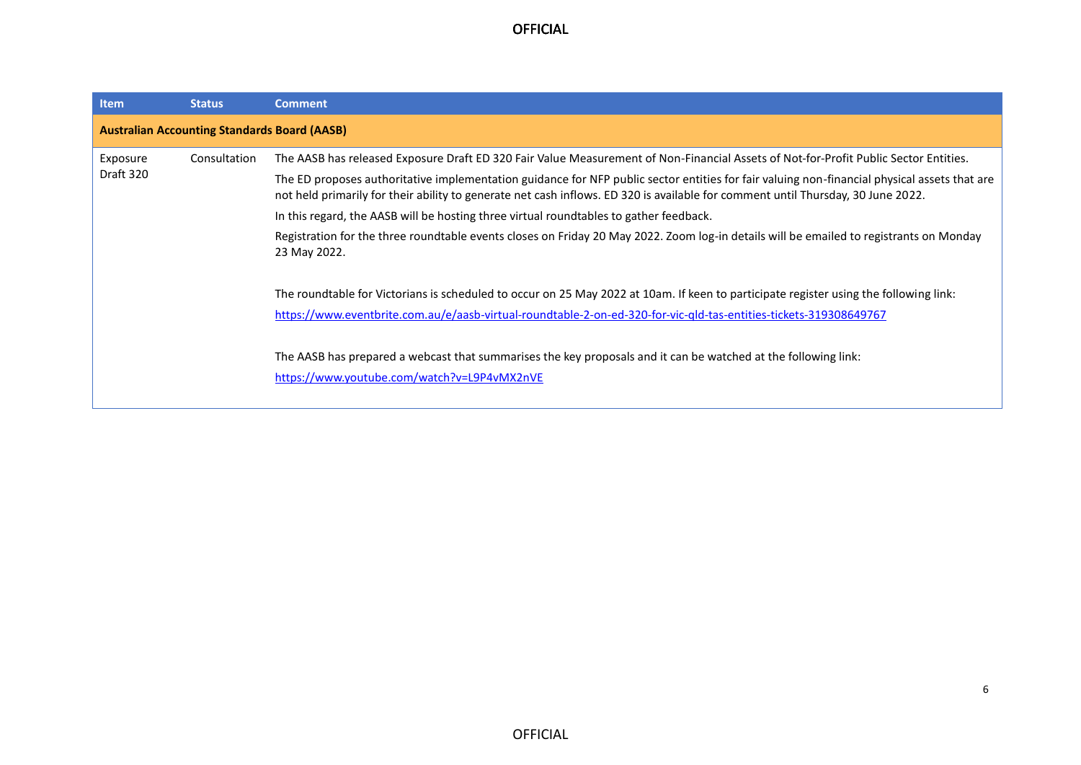| Item                                                | <b>Status</b>                                                                                                                                                                                                                                                                    | <b>Comment</b>                                                                                                                                                                                                                                             |  |  |  |
|-----------------------------------------------------|----------------------------------------------------------------------------------------------------------------------------------------------------------------------------------------------------------------------------------------------------------------------------------|------------------------------------------------------------------------------------------------------------------------------------------------------------------------------------------------------------------------------------------------------------|--|--|--|
| <b>Australian Accounting Standards Board (AASB)</b> |                                                                                                                                                                                                                                                                                  |                                                                                                                                                                                                                                                            |  |  |  |
| Exposure                                            | Consultation                                                                                                                                                                                                                                                                     | The AASB has released Exposure Draft ED 320 Fair Value Measurement of Non-Financial Assets of Not-for-Profit Public Sector Entities.                                                                                                                       |  |  |  |
| Draft 320                                           | The ED proposes authoritative implementation guidance for NFP public sector entities for fair valuing non-financial physical assets that are<br>not held primarily for their ability to generate net cash inflows. ED 320 is available for comment until Thursday, 30 June 2022. |                                                                                                                                                                                                                                                            |  |  |  |
|                                                     |                                                                                                                                                                                                                                                                                  | In this regard, the AASB will be hosting three virtual roundtables to gather feedback.                                                                                                                                                                     |  |  |  |
|                                                     |                                                                                                                                                                                                                                                                                  | Registration for the three roundtable events closes on Friday 20 May 2022. Zoom log-in details will be emailed to registrants on Monday<br>23 May 2022.                                                                                                    |  |  |  |
|                                                     |                                                                                                                                                                                                                                                                                  | The roundtable for Victorians is scheduled to occur on 25 May 2022 at 10am. If keen to participate register using the following link:<br>https://www.eventbrite.com.au/e/aasb-virtual-roundtable-2-on-ed-320-for-vic-gld-tas-entities-tickets-319308649767 |  |  |  |
|                                                     |                                                                                                                                                                                                                                                                                  | The AASB has prepared a webcast that summarises the key proposals and it can be watched at the following link:<br>https://www.youtube.com/watch?v=L9P4vMX2nVE                                                                                              |  |  |  |

6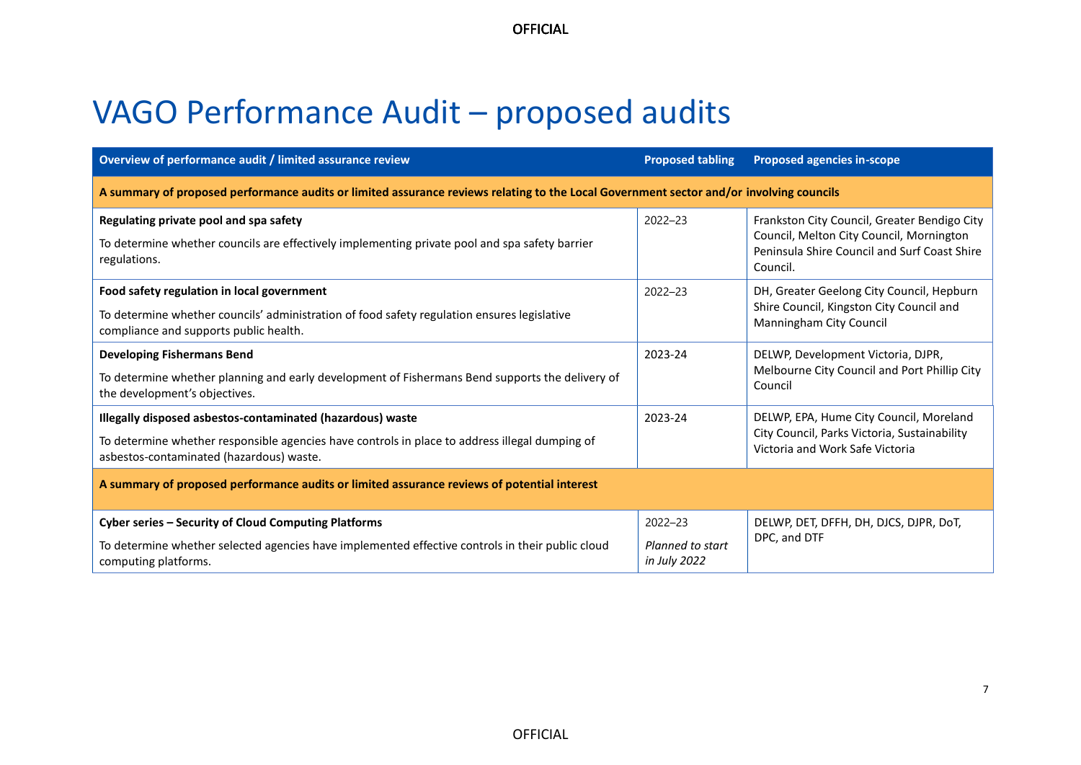# <span id="page-6-0"></span>VAGO Performance Audit – proposed audits

| Overview of performance audit / limited assurance review                                                                                                 | <b>Proposed tabling</b>          | <b>Proposed agencies in-scope</b>                                                                                                                    |  |  |  |  |
|----------------------------------------------------------------------------------------------------------------------------------------------------------|----------------------------------|------------------------------------------------------------------------------------------------------------------------------------------------------|--|--|--|--|
| A summary of proposed performance audits or limited assurance reviews relating to the Local Government sector and/or involving councils                  |                                  |                                                                                                                                                      |  |  |  |  |
| Regulating private pool and spa safety<br>To determine whether councils are effectively implementing private pool and spa safety barrier<br>regulations. | $2022 - 23$                      | Frankston City Council, Greater Bendigo City<br>Council, Melton City Council, Mornington<br>Peninsula Shire Council and Surf Coast Shire<br>Council. |  |  |  |  |
| Food safety regulation in local government                                                                                                               | $2022 - 23$                      | DH, Greater Geelong City Council, Hepburn                                                                                                            |  |  |  |  |
| To determine whether councils' administration of food safety regulation ensures legislative<br>compliance and supports public health.                    |                                  | Shire Council, Kingston City Council and<br>Manningham City Council                                                                                  |  |  |  |  |
| <b>Developing Fishermans Bend</b>                                                                                                                        | 2023-24                          | DELWP, Development Victoria, DJPR,                                                                                                                   |  |  |  |  |
| To determine whether planning and early development of Fishermans Bend supports the delivery of<br>the development's objectives.                         |                                  | Melbourne City Council and Port Phillip City<br>Council                                                                                              |  |  |  |  |
| Illegally disposed asbestos-contaminated (hazardous) waste                                                                                               | 2023-24                          | DELWP, EPA, Hume City Council, Moreland                                                                                                              |  |  |  |  |
| To determine whether responsible agencies have controls in place to address illegal dumping of<br>asbestos-contaminated (hazardous) waste.               |                                  | City Council, Parks Victoria, Sustainability<br>Victoria and Work Safe Victoria                                                                      |  |  |  |  |
| A summary of proposed performance audits or limited assurance reviews of potential interest                                                              |                                  |                                                                                                                                                      |  |  |  |  |
| Cyber series - Security of Cloud Computing Platforms                                                                                                     | $2022 - 23$                      | DELWP, DET, DFFH, DH, DJCS, DJPR, DoT,                                                                                                               |  |  |  |  |
| To determine whether selected agencies have implemented effective controls in their public cloud<br>computing platforms.                                 | Planned to start<br>in July 2022 | DPC, and DTF                                                                                                                                         |  |  |  |  |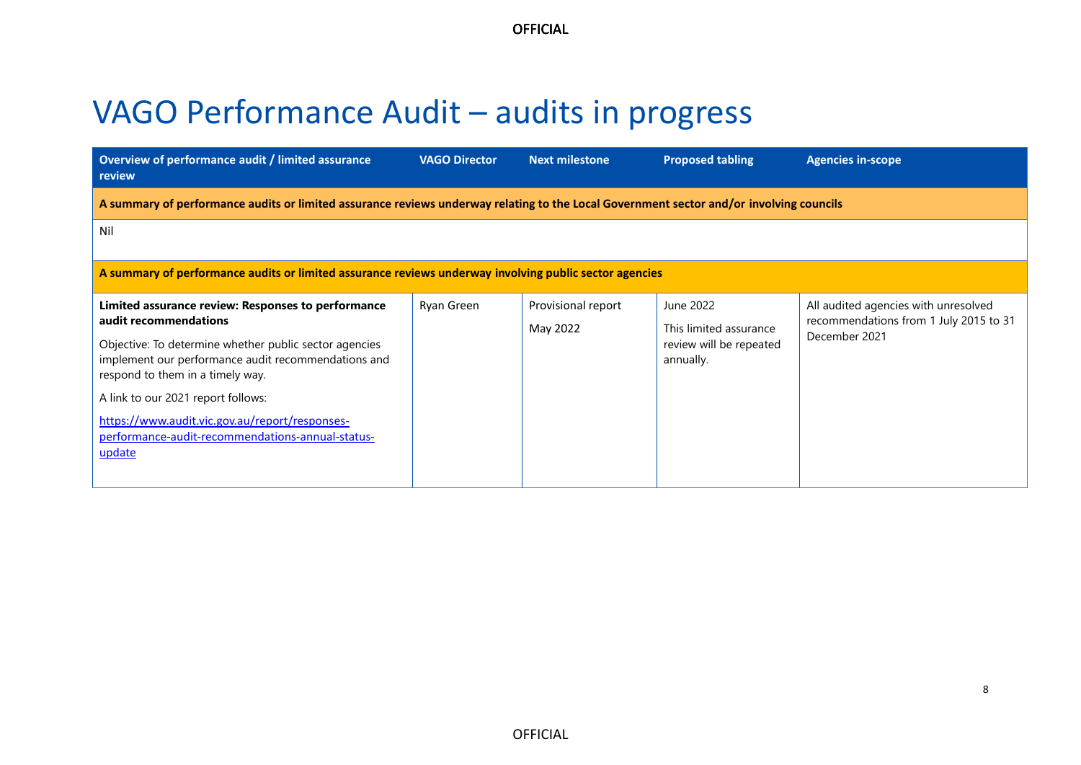# <span id="page-7-0"></span>VAGO Performance Audit – audits in progress

| Overview of performance audit / limited assurance<br><b>review</b>                                                                                                                                                                                                                                                                                                                     | <b>VAGO Director</b> | <b>Next milestone</b>          | <b>Proposed tabling</b>                                                     | <b>Agencies in-scope</b>                                                                        |  |  |
|----------------------------------------------------------------------------------------------------------------------------------------------------------------------------------------------------------------------------------------------------------------------------------------------------------------------------------------------------------------------------------------|----------------------|--------------------------------|-----------------------------------------------------------------------------|-------------------------------------------------------------------------------------------------|--|--|
| A summary of performance audits or limited assurance reviews underway relating to the Local Government sector and/or involving councils                                                                                                                                                                                                                                                |                      |                                |                                                                             |                                                                                                 |  |  |
| Nil                                                                                                                                                                                                                                                                                                                                                                                    |                      |                                |                                                                             |                                                                                                 |  |  |
| A summary of performance audits or limited assurance reviews underway involving public sector agencies                                                                                                                                                                                                                                                                                 |                      |                                |                                                                             |                                                                                                 |  |  |
| Limited assurance review: Responses to performance<br>audit recommendations<br>Objective: To determine whether public sector agencies<br>implement our performance audit recommendations and<br>respond to them in a timely way.<br>A link to our 2021 report follows:<br>https://www.audit.vic.gov.au/report/responses-<br>performance-audit-recommendations-annual-status-<br>update | Ryan Green           | Provisional report<br>May 2022 | June 2022<br>This limited assurance<br>review will be repeated<br>annually. | All audited agencies with unresolved<br>recommendations from 1 July 2015 to 31<br>December 2021 |  |  |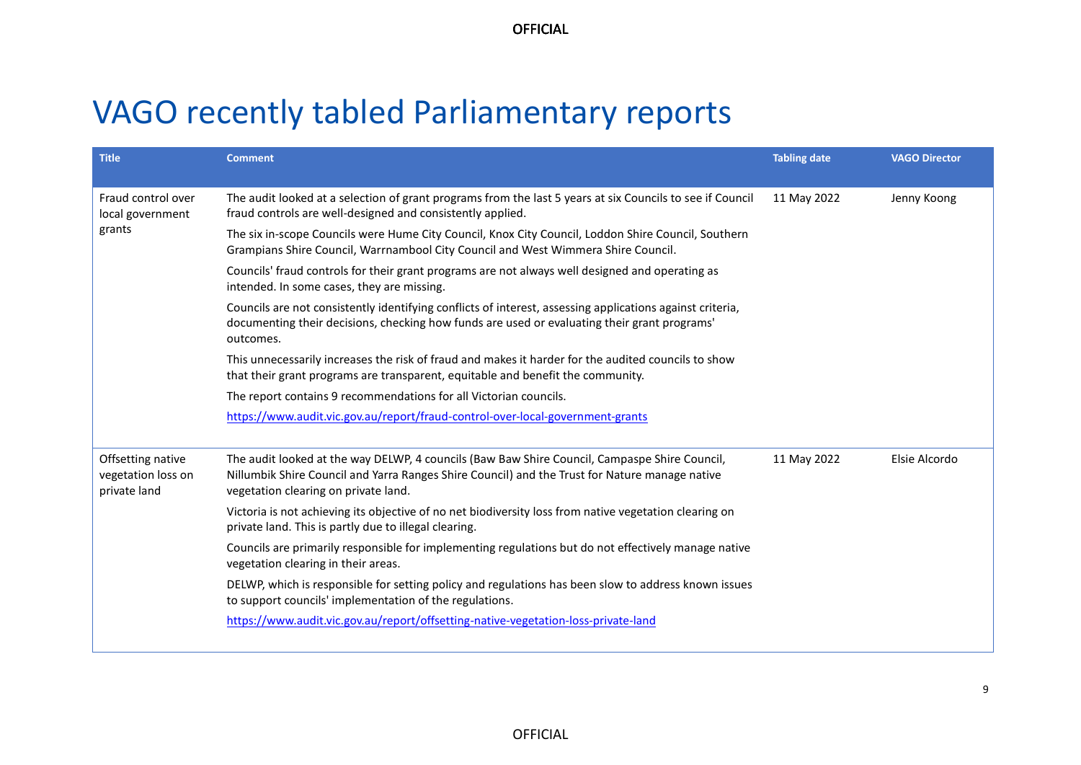# <span id="page-8-0"></span>VAGO recently tabled Parliamentary reports

| <b>Title</b>                                            | <b>Comment</b>                                                                                                                                                                                                                          | <b>Tabling date</b> | <b>VAGO Director</b> |
|---------------------------------------------------------|-----------------------------------------------------------------------------------------------------------------------------------------------------------------------------------------------------------------------------------------|---------------------|----------------------|
| Fraud control over<br>local government                  | The audit looked at a selection of grant programs from the last 5 years at six Councils to see if Council<br>fraud controls are well-designed and consistently applied.                                                                 | 11 May 2022         | Jenny Koong          |
| grants                                                  | The six in-scope Councils were Hume City Council, Knox City Council, Loddon Shire Council, Southern<br>Grampians Shire Council, Warrnambool City Council and West Wimmera Shire Council.                                                |                     |                      |
|                                                         | Councils' fraud controls for their grant programs are not always well designed and operating as<br>intended. In some cases, they are missing.                                                                                           |                     |                      |
|                                                         | Councils are not consistently identifying conflicts of interest, assessing applications against criteria,<br>documenting their decisions, checking how funds are used or evaluating their grant programs'<br>outcomes.                  |                     |                      |
|                                                         | This unnecessarily increases the risk of fraud and makes it harder for the audited councils to show<br>that their grant programs are transparent, equitable and benefit the community.                                                  |                     |                      |
|                                                         | The report contains 9 recommendations for all Victorian councils.                                                                                                                                                                       |                     |                      |
|                                                         | https://www.audit.vic.gov.au/report/fraud-control-over-local-government-grants                                                                                                                                                          |                     |                      |
| Offsetting native<br>vegetation loss on<br>private land | The audit looked at the way DELWP, 4 councils (Baw Baw Shire Council, Campaspe Shire Council,<br>Nillumbik Shire Council and Yarra Ranges Shire Council) and the Trust for Nature manage native<br>vegetation clearing on private land. | 11 May 2022         | Elsie Alcordo        |
|                                                         | Victoria is not achieving its objective of no net biodiversity loss from native vegetation clearing on<br>private land. This is partly due to illegal clearing.                                                                         |                     |                      |
|                                                         | Councils are primarily responsible for implementing regulations but do not effectively manage native<br>vegetation clearing in their areas.                                                                                             |                     |                      |
|                                                         | DELWP, which is responsible for setting policy and regulations has been slow to address known issues<br>to support councils' implementation of the regulations.                                                                         |                     |                      |
|                                                         | https://www.audit.vic.gov.au/report/offsetting-native-vegetation-loss-private-land                                                                                                                                                      |                     |                      |
|                                                         |                                                                                                                                                                                                                                         |                     |                      |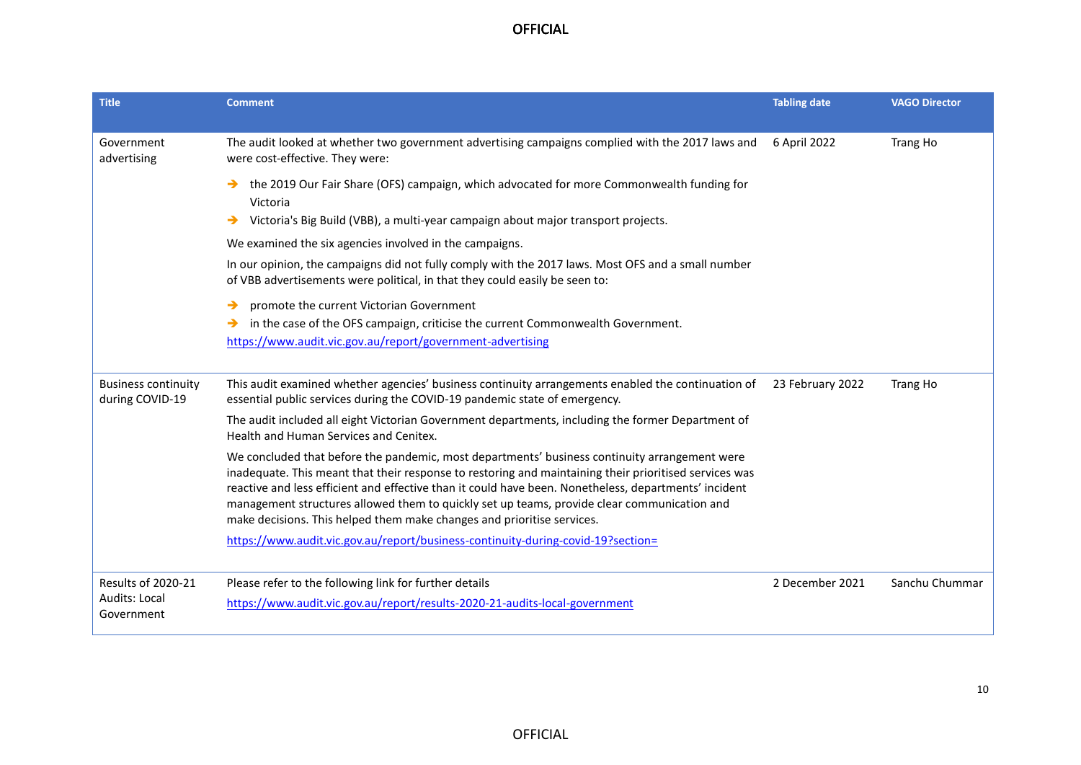| <b>Title</b>                                                    | <b>Comment</b>                                                                                                                                                                                                                                                                                                                                                                                                                                                                            | <b>Tabling date</b> | <b>VAGO Director</b> |
|-----------------------------------------------------------------|-------------------------------------------------------------------------------------------------------------------------------------------------------------------------------------------------------------------------------------------------------------------------------------------------------------------------------------------------------------------------------------------------------------------------------------------------------------------------------------------|---------------------|----------------------|
| Government<br>advertising                                       | The audit looked at whether two government advertising campaigns complied with the 2017 laws and<br>were cost-effective. They were:                                                                                                                                                                                                                                                                                                                                                       | 6 April 2022        | Trang Ho             |
|                                                                 | the 2019 Our Fair Share (OFS) campaign, which advocated for more Commonwealth funding for<br>→<br>Victoria<br>Victoria's Big Build (VBB), a multi-year campaign about major transport projects.<br>→<br>We examined the six agencies involved in the campaigns.<br>In our opinion, the campaigns did not fully comply with the 2017 laws. Most OFS and a small number                                                                                                                     |                     |                      |
|                                                                 | of VBB advertisements were political, in that they could easily be seen to:<br>promote the current Victorian Government<br>→<br>in the case of the OFS campaign, criticise the current Commonwealth Government.<br>→<br>https://www.audit.vic.gov.au/report/government-advertising                                                                                                                                                                                                        |                     |                      |
| <b>Business continuity</b><br>during COVID-19                   | This audit examined whether agencies' business continuity arrangements enabled the continuation of<br>essential public services during the COVID-19 pandemic state of emergency.                                                                                                                                                                                                                                                                                                          | 23 February 2022    | Trang Ho             |
|                                                                 | The audit included all eight Victorian Government departments, including the former Department of<br>Health and Human Services and Cenitex.                                                                                                                                                                                                                                                                                                                                               |                     |                      |
|                                                                 | We concluded that before the pandemic, most departments' business continuity arrangement were<br>inadequate. This meant that their response to restoring and maintaining their prioritised services was<br>reactive and less efficient and effective than it could have been. Nonetheless, departments' incident<br>management structures allowed them to quickly set up teams, provide clear communication and<br>make decisions. This helped them make changes and prioritise services. |                     |                      |
|                                                                 | https://www.audit.vic.gov.au/report/business-continuity-during-covid-19?section=                                                                                                                                                                                                                                                                                                                                                                                                          |                     |                      |
| <b>Results of 2020-21</b><br><b>Audits: Local</b><br>Government | Please refer to the following link for further details<br>https://www.audit.vic.gov.au/report/results-2020-21-audits-local-government                                                                                                                                                                                                                                                                                                                                                     | 2 December 2021     | Sanchu Chummar       |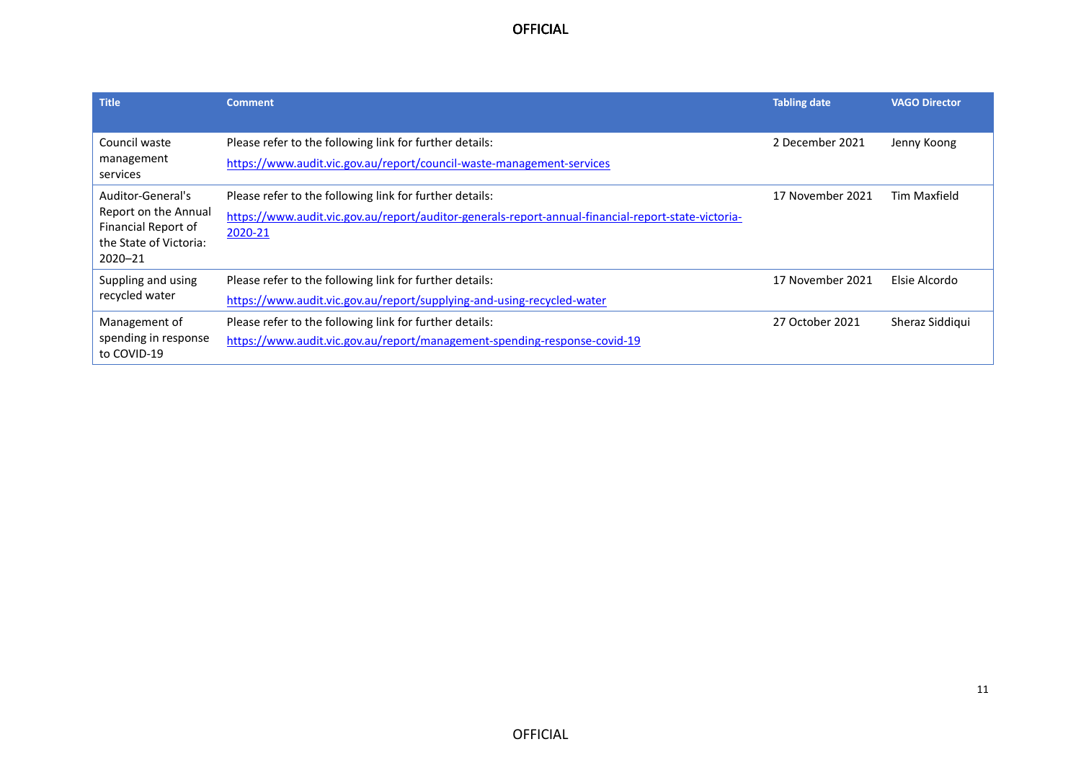| <b>Title</b>                                                                                              | <b>Comment</b>                                                                                                                                                            | <b>Tabling date</b> | <b>VAGO Director</b> |
|-----------------------------------------------------------------------------------------------------------|---------------------------------------------------------------------------------------------------------------------------------------------------------------------------|---------------------|----------------------|
| Council waste<br>management<br>services                                                                   | Please refer to the following link for further details:<br>https://www.audit.vic.gov.au/report/council-waste-management-services                                          | 2 December 2021     | Jenny Koong          |
| Auditor-General's<br>Report on the Annual<br>Financial Report of<br>the State of Victoria:<br>$2020 - 21$ | Please refer to the following link for further details:<br>https://www.audit.vic.gov.au/report/auditor-generals-report-annual-financial-report-state-victoria-<br>2020-21 | 17 November 2021    | Tim Maxfield         |
| Suppling and using<br>recycled water                                                                      | Please refer to the following link for further details:<br>https://www.audit.vic.gov.au/report/supplying-and-using-recycled-water                                         | 17 November 2021    | Elsie Alcordo        |
| Management of<br>spending in response<br>to COVID-19                                                      | Please refer to the following link for further details:<br>https://www.audit.vic.gov.au/report/management-spending-response-covid-19                                      | 27 October 2021     | Sheraz Siddigui      |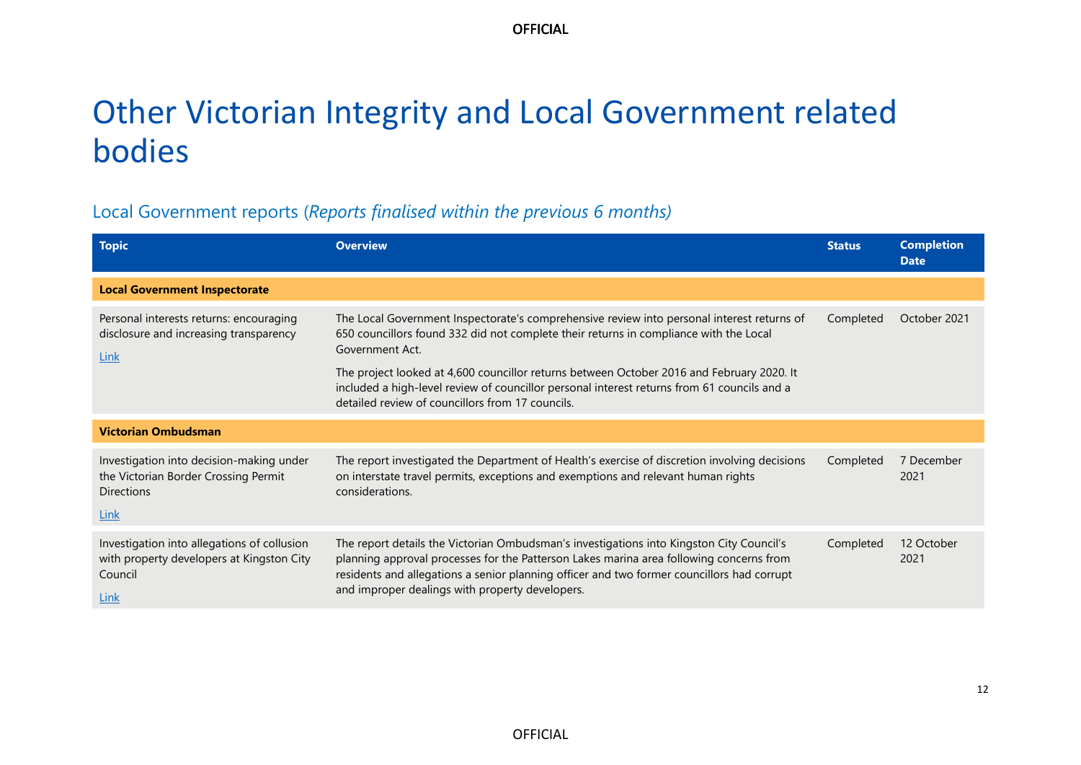# <span id="page-11-0"></span>Other Victorian Integrity and Local Government related bodies

# Local Government reports (*Reports finalised within the previous 6 months)*

| <b>Topic</b>                                                                                                  | <b>Overview</b>                                                                                                                                                                                                                                                                                                                                                                                    | <b>Status</b> | <b>Completion</b><br><b>Date</b> |
|---------------------------------------------------------------------------------------------------------------|----------------------------------------------------------------------------------------------------------------------------------------------------------------------------------------------------------------------------------------------------------------------------------------------------------------------------------------------------------------------------------------------------|---------------|----------------------------------|
| <b>Local Government Inspectorate</b>                                                                          |                                                                                                                                                                                                                                                                                                                                                                                                    |               |                                  |
| Personal interests returns: encouraging<br>disclosure and increasing transparency<br>Link                     | The Local Government Inspectorate's comprehensive review into personal interest returns of<br>650 councillors found 332 did not complete their returns in compliance with the Local<br>Government Act.<br>The project looked at 4,600 councillor returns between October 2016 and February 2020. It<br>included a high-level review of councillor personal interest returns from 61 councils and a | Completed     | October 2021                     |
|                                                                                                               | detailed review of councillors from 17 councils.                                                                                                                                                                                                                                                                                                                                                   |               |                                  |
| <b>Victorian Ombudsman</b>                                                                                    |                                                                                                                                                                                                                                                                                                                                                                                                    |               |                                  |
| Investigation into decision-making under<br>the Victorian Border Crossing Permit<br><b>Directions</b><br>Link | The report investigated the Department of Health's exercise of discretion involving decisions<br>on interstate travel permits, exceptions and exemptions and relevant human rights<br>considerations.                                                                                                                                                                                              | Completed     | 7 December<br>2021               |
| Investigation into allegations of collusion<br>with property developers at Kingston City<br>Council<br>Link   | The report details the Victorian Ombudsman's investigations into Kingston City Council's<br>planning approval processes for the Patterson Lakes marina area following concerns from<br>residents and allegations a senior planning officer and two former councillors had corrupt<br>and improper dealings with property developers.                                                               | Completed     | 12 October<br>2021               |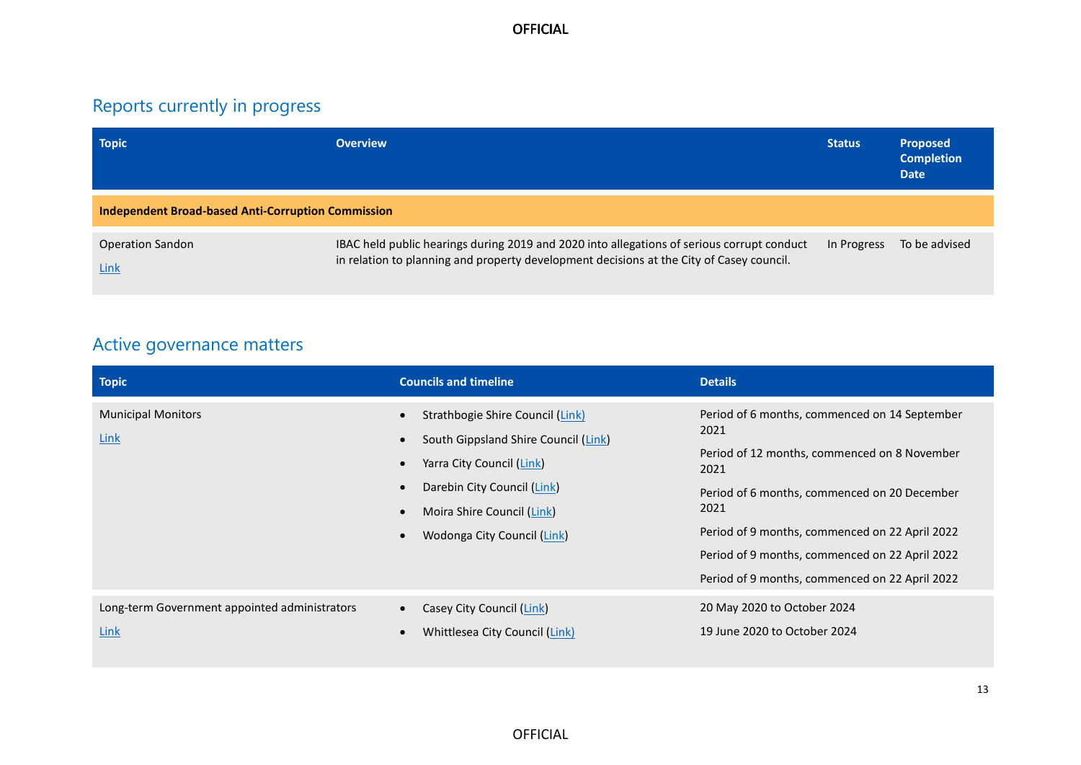# Reports currently in progress

| <b>Topic</b>                                              | <b>Overview</b>                                                                                                                                                                        | <b>Status</b> | <b>Proposed</b><br><b>Completion</b><br><b>Date</b> |  |
|-----------------------------------------------------------|----------------------------------------------------------------------------------------------------------------------------------------------------------------------------------------|---------------|-----------------------------------------------------|--|
| <b>Independent Broad-based Anti-Corruption Commission</b> |                                                                                                                                                                                        |               |                                                     |  |
| <b>Operation Sandon</b><br><b>Link</b>                    | IBAC held public hearings during 2019 and 2020 into allegations of serious corrupt conduct<br>in relation to planning and property development decisions at the City of Casey council. | In Progress   | To be advised                                       |  |

# Active governance matters

| <b>Topic</b>                                          | <b>Councils and timeline</b>                                                                                                                                                                      | <b>Details</b>                                                                                                                                                                                                                                                                                                              |
|-------------------------------------------------------|---------------------------------------------------------------------------------------------------------------------------------------------------------------------------------------------------|-----------------------------------------------------------------------------------------------------------------------------------------------------------------------------------------------------------------------------------------------------------------------------------------------------------------------------|
| <b>Municipal Monitors</b><br>Link                     | Strathbogie Shire Council (Link)<br>South Gippsland Shire Council (Link)<br>Yarra City Council (Link)<br>Darebin City Council (Link)<br>Moira Shire Council (Link)<br>Wodonga City Council (Link) | Period of 6 months, commenced on 14 September<br>2021<br>Period of 12 months, commenced on 8 November<br>2021<br>Period of 6 months, commenced on 20 December<br>2021<br>Period of 9 months, commenced on 22 April 2022<br>Period of 9 months, commenced on 22 April 2022<br>Period of 9 months, commenced on 22 April 2022 |
| Long-term Government appointed administrators<br>Link | Casey City Council (Link)<br>Whittlesea City Council (Link)                                                                                                                                       | 20 May 2020 to October 2024<br>19 June 2020 to October 2024                                                                                                                                                                                                                                                                 |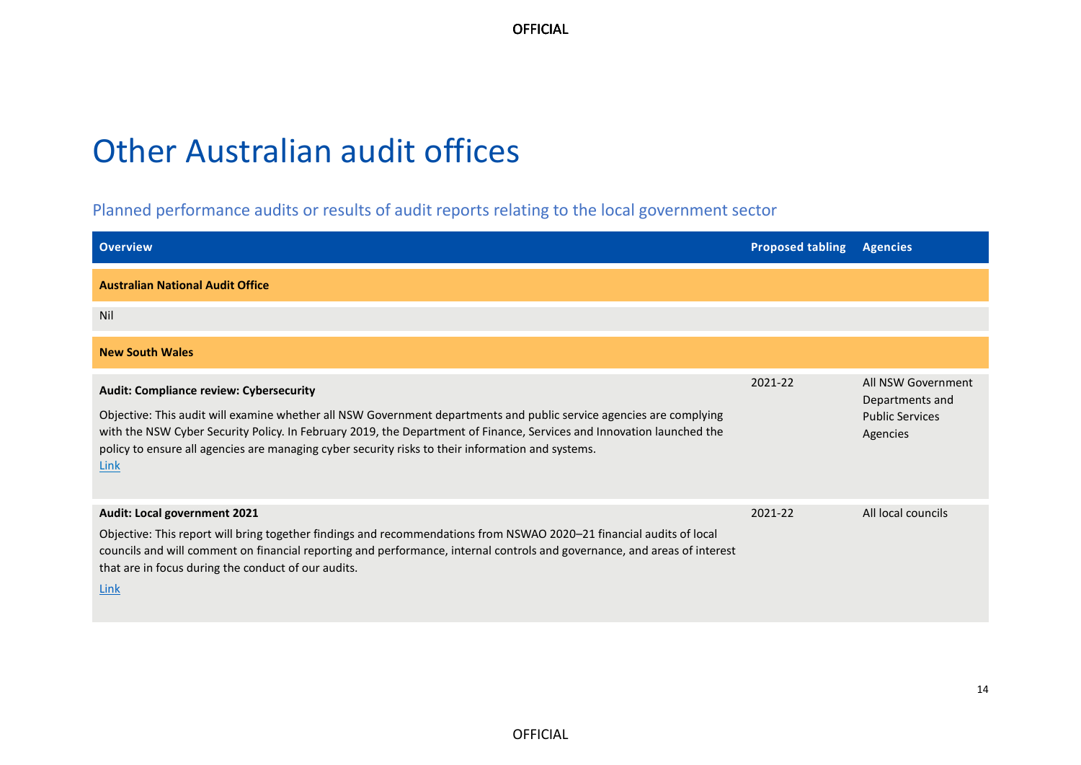# <span id="page-13-0"></span>Other Australian audit offices

## Planned performance audits or results of audit reports relating to the local government sector

| <b>Overview</b>                                                                                                                                                                                                                                                                                                                                                                                      | <b>Proposed tabling</b> | <b>Agencies</b>                                                             |
|------------------------------------------------------------------------------------------------------------------------------------------------------------------------------------------------------------------------------------------------------------------------------------------------------------------------------------------------------------------------------------------------------|-------------------------|-----------------------------------------------------------------------------|
| <b>Australian National Audit Office</b>                                                                                                                                                                                                                                                                                                                                                              |                         |                                                                             |
| <b>Nil</b>                                                                                                                                                                                                                                                                                                                                                                                           |                         |                                                                             |
| <b>New South Wales</b>                                                                                                                                                                                                                                                                                                                                                                               |                         |                                                                             |
| Audit: Compliance review: Cybersecurity<br>Objective: This audit will examine whether all NSW Government departments and public service agencies are complying<br>with the NSW Cyber Security Policy. In February 2019, the Department of Finance, Services and Innovation launched the<br>policy to ensure all agencies are managing cyber security risks to their information and systems.<br>Link | 2021-22                 | All NSW Government<br>Departments and<br><b>Public Services</b><br>Agencies |
| Audit: Local government 2021<br>Objective: This report will bring together findings and recommendations from NSWAO 2020-21 financial audits of local<br>councils and will comment on financial reporting and performance, internal controls and governance, and areas of interest<br>that are in focus during the conduct of our audits.<br>Link                                                     | 2021-22                 | All local councils                                                          |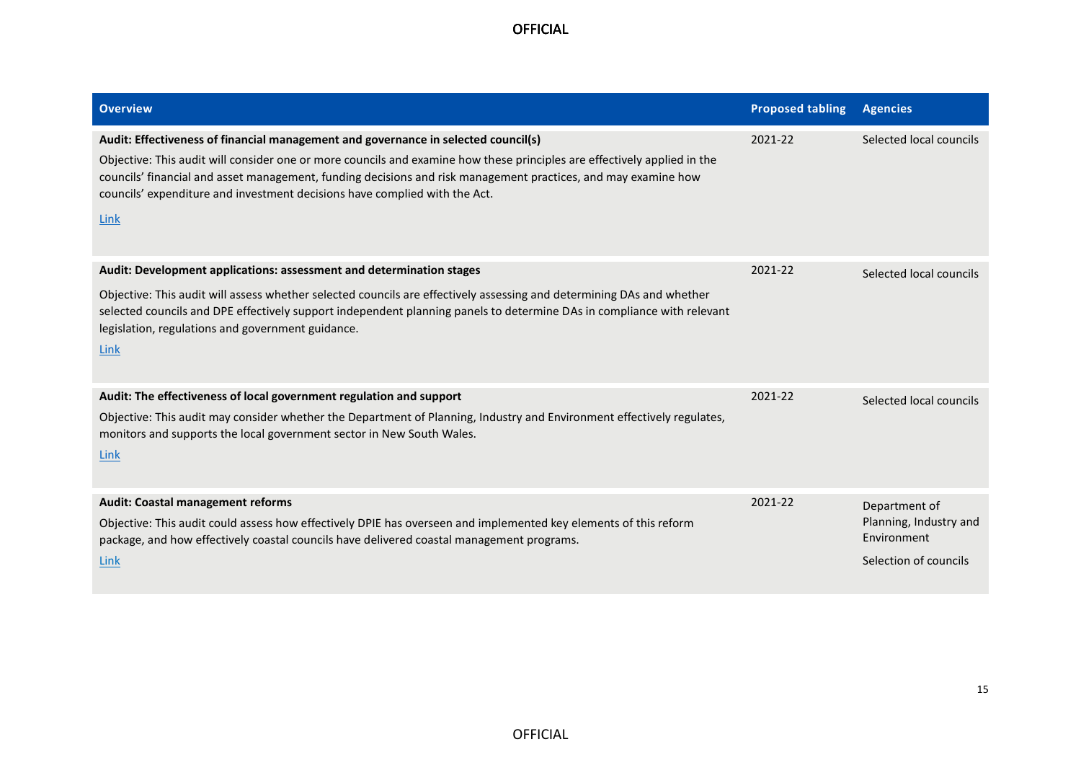| <b>Overview</b>                                                                                                                                                                                                                                                                                                                                                                                                        | <b>Proposed tabling</b> | <b>Agencies</b>                                                                 |
|------------------------------------------------------------------------------------------------------------------------------------------------------------------------------------------------------------------------------------------------------------------------------------------------------------------------------------------------------------------------------------------------------------------------|-------------------------|---------------------------------------------------------------------------------|
| Audit: Effectiveness of financial management and governance in selected council(s)<br>Objective: This audit will consider one or more councils and examine how these principles are effectively applied in the<br>councils' financial and asset management, funding decisions and risk management practices, and may examine how<br>councils' expenditure and investment decisions have complied with the Act.<br>Link | 2021-22                 | Selected local councils                                                         |
| Audit: Development applications: assessment and determination stages<br>Objective: This audit will assess whether selected councils are effectively assessing and determining DAs and whether<br>selected councils and DPE effectively support independent planning panels to determine DAs in compliance with relevant<br>legislation, regulations and government guidance.<br>Link                                   | 2021-22                 | Selected local councils                                                         |
| Audit: The effectiveness of local government regulation and support<br>Objective: This audit may consider whether the Department of Planning, Industry and Environment effectively regulates,<br>monitors and supports the local government sector in New South Wales.<br>Link                                                                                                                                         | 2021-22                 | Selected local councils                                                         |
| <b>Audit: Coastal management reforms</b><br>Objective: This audit could assess how effectively DPIE has overseen and implemented key elements of this reform<br>package, and how effectively coastal councils have delivered coastal management programs.<br>Link                                                                                                                                                      | 2021-22                 | Department of<br>Planning, Industry and<br>Environment<br>Selection of councils |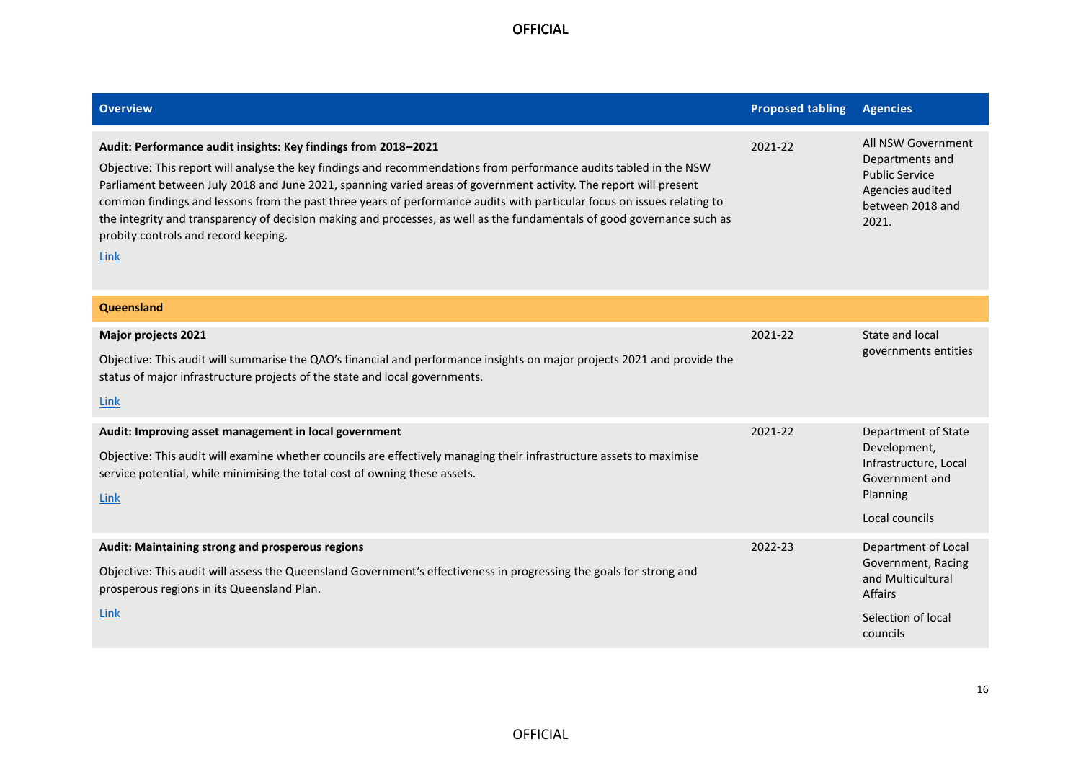| <b>Overview</b>                                                                                                                                                                                                                                                                                                                                                                                                                                                                                                                                                                                                 | <b>Proposed tabling</b> | <b>Agencies</b>                                                                                                    |
|-----------------------------------------------------------------------------------------------------------------------------------------------------------------------------------------------------------------------------------------------------------------------------------------------------------------------------------------------------------------------------------------------------------------------------------------------------------------------------------------------------------------------------------------------------------------------------------------------------------------|-------------------------|--------------------------------------------------------------------------------------------------------------------|
| Audit: Performance audit insights: Key findings from 2018-2021<br>Objective: This report will analyse the key findings and recommendations from performance audits tabled in the NSW<br>Parliament between July 2018 and June 2021, spanning varied areas of government activity. The report will present<br>common findings and lessons from the past three years of performance audits with particular focus on issues relating to<br>the integrity and transparency of decision making and processes, as well as the fundamentals of good governance such as<br>probity controls and record keeping.<br>Link | 2021-22                 | All NSW Government<br>Departments and<br><b>Public Service</b><br>Agencies audited<br>between 2018 and<br>2021.    |
| Queensland                                                                                                                                                                                                                                                                                                                                                                                                                                                                                                                                                                                                      |                         |                                                                                                                    |
| <b>Major projects 2021</b><br>Objective: This audit will summarise the QAO's financial and performance insights on major projects 2021 and provide the<br>status of major infrastructure projects of the state and local governments.<br><u>Link</u>                                                                                                                                                                                                                                                                                                                                                            | 2021-22                 | State and local<br>governments entities                                                                            |
| Audit: Improving asset management in local government<br>Objective: This audit will examine whether councils are effectively managing their infrastructure assets to maximise<br>service potential, while minimising the total cost of owning these assets.<br>Link                                                                                                                                                                                                                                                                                                                                             | 2021-22                 | Department of State<br>Development,<br>Infrastructure, Local<br>Government and<br>Planning<br>Local councils       |
| Audit: Maintaining strong and prosperous regions<br>Objective: This audit will assess the Queensland Government's effectiveness in progressing the goals for strong and<br>prosperous regions in its Queensland Plan.<br>Link                                                                                                                                                                                                                                                                                                                                                                                   | 2022-23                 | Department of Local<br>Government, Racing<br>and Multicultural<br><b>Affairs</b><br>Selection of local<br>councils |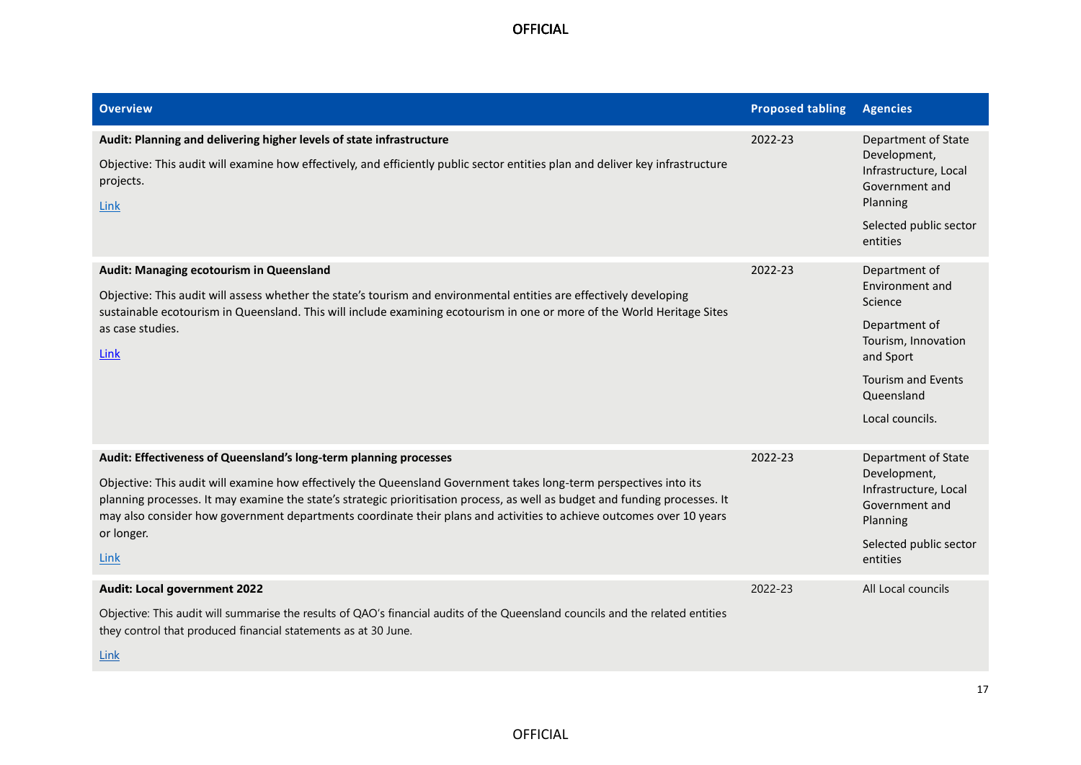| <b>Overview</b>                                                                                                                                                                                                                                                                                                                                                                                                                                                       | <b>Proposed tabling</b> | <b>Agencies</b>                                                                                                                                                |
|-----------------------------------------------------------------------------------------------------------------------------------------------------------------------------------------------------------------------------------------------------------------------------------------------------------------------------------------------------------------------------------------------------------------------------------------------------------------------|-------------------------|----------------------------------------------------------------------------------------------------------------------------------------------------------------|
| Audit: Planning and delivering higher levels of state infrastructure<br>Objective: This audit will examine how effectively, and efficiently public sector entities plan and deliver key infrastructure<br>projects.<br>Link                                                                                                                                                                                                                                           | 2022-23                 | <b>Department of State</b><br>Development,<br>Infrastructure, Local<br>Government and<br>Planning<br>Selected public sector<br>entities                        |
| Audit: Managing ecotourism in Queensland<br>Objective: This audit will assess whether the state's tourism and environmental entities are effectively developing<br>sustainable ecotourism in Queensland. This will include examining ecotourism in one or more of the World Heritage Sites<br>as case studies.<br>Link                                                                                                                                                | 2022-23                 | Department of<br>Environment and<br>Science<br>Department of<br>Tourism, Innovation<br>and Sport<br><b>Tourism and Events</b><br>Queensland<br>Local councils. |
| Audit: Effectiveness of Queensland's long-term planning processes<br>Objective: This audit will examine how effectively the Queensland Government takes long-term perspectives into its<br>planning processes. It may examine the state's strategic prioritisation process, as well as budget and funding processes. It<br>may also consider how government departments coordinate their plans and activities to achieve outcomes over 10 years<br>or longer.<br>Link | 2022-23                 | <b>Department of State</b><br>Development,<br>Infrastructure, Local<br>Government and<br>Planning<br>Selected public sector<br>entities                        |
| <b>Audit: Local government 2022</b><br>Objective: This audit will summarise the results of QAO's financial audits of the Queensland councils and the related entities<br>they control that produced financial statements as at 30 June.<br><b>Link</b>                                                                                                                                                                                                                | 2022-23                 | All Local councils                                                                                                                                             |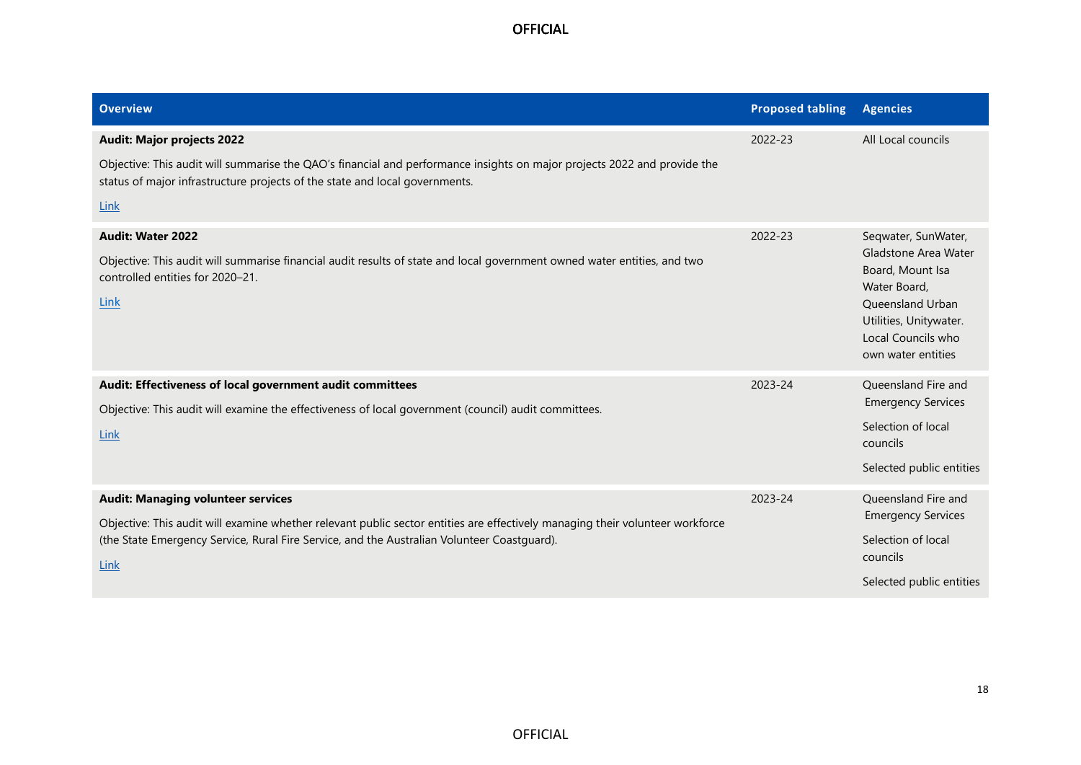| <b>Overview</b>                                                                                                                                                                                                                                                                   | <b>Proposed tabling</b> | <b>Agencies</b>                                                                                                                                                           |
|-----------------------------------------------------------------------------------------------------------------------------------------------------------------------------------------------------------------------------------------------------------------------------------|-------------------------|---------------------------------------------------------------------------------------------------------------------------------------------------------------------------|
| <b>Audit: Major projects 2022</b><br>Objective: This audit will summarise the QAO's financial and performance insights on major projects 2022 and provide the<br>status of major infrastructure projects of the state and local governments.<br>Link                              | 2022-23                 | All Local councils                                                                                                                                                        |
| <b>Audit: Water 2022</b><br>Objective: This audit will summarise financial audit results of state and local government owned water entities, and two<br>controlled entities for 2020-21.<br>Link                                                                                  | 2022-23                 | Seqwater, SunWater,<br>Gladstone Area Water<br>Board, Mount Isa<br>Water Board,<br>Queensland Urban<br>Utilities, Unitywater.<br>Local Councils who<br>own water entities |
| Audit: Effectiveness of local government audit committees<br>Objective: This audit will examine the effectiveness of local government (council) audit committees.<br>Link                                                                                                         | 2023-24                 | Queensland Fire and<br><b>Emergency Services</b><br>Selection of local<br>councils<br>Selected public entities                                                            |
| <b>Audit: Managing volunteer services</b><br>Objective: This audit will examine whether relevant public sector entities are effectively managing their volunteer workforce<br>(the State Emergency Service, Rural Fire Service, and the Australian Volunteer Coastguard).<br>Link | 2023-24                 | Queensland Fire and<br><b>Emergency Services</b><br>Selection of local<br>councils<br>Selected public entities                                                            |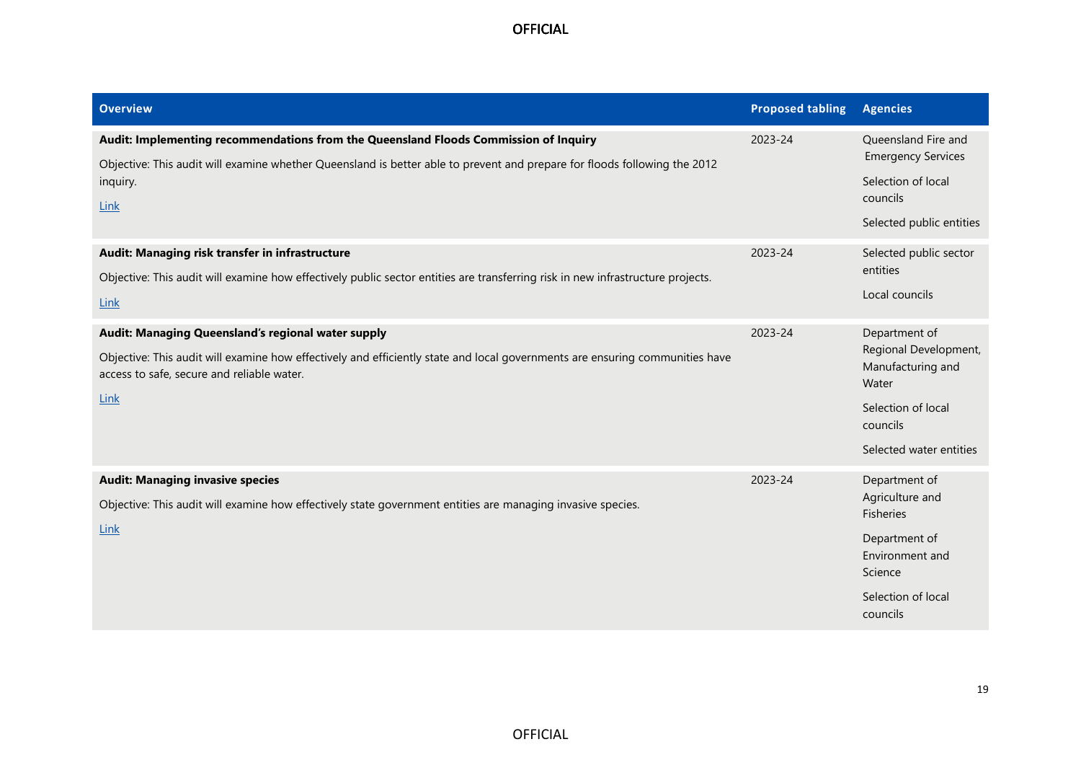| <b>Overview</b>                                                                                                                                                                                                                              | <b>Proposed tabling</b> | <b>Agencies</b>                                                                                                                       |
|----------------------------------------------------------------------------------------------------------------------------------------------------------------------------------------------------------------------------------------------|-------------------------|---------------------------------------------------------------------------------------------------------------------------------------|
| Audit: Implementing recommendations from the Queensland Floods Commission of Inquiry<br>Objective: This audit will examine whether Queensland is better able to prevent and prepare for floods following the 2012<br>inquiry.<br><b>Link</b> | 2023-24                 | Queensland Fire and<br><b>Emergency Services</b><br>Selection of local<br>councils<br>Selected public entities                        |
| Audit: Managing risk transfer in infrastructure<br>Objective: This audit will examine how effectively public sector entities are transferring risk in new infrastructure projects.<br>Link                                                   | 2023-24                 | Selected public sector<br>entities<br>Local councils                                                                                  |
| Audit: Managing Queensland's regional water supply<br>Objective: This audit will examine how effectively and efficiently state and local governments are ensuring communities have<br>access to safe, secure and reliable water.<br>Link     | 2023-24                 | Department of<br>Regional Development,<br>Manufacturing and<br>Water<br>Selection of local<br>councils<br>Selected water entities     |
| <b>Audit: Managing invasive species</b><br>Objective: This audit will examine how effectively state government entities are managing invasive species.<br><b>Link</b>                                                                        | 2023-24                 | Department of<br>Agriculture and<br><b>Fisheries</b><br>Department of<br>Environment and<br>Science<br>Selection of local<br>councils |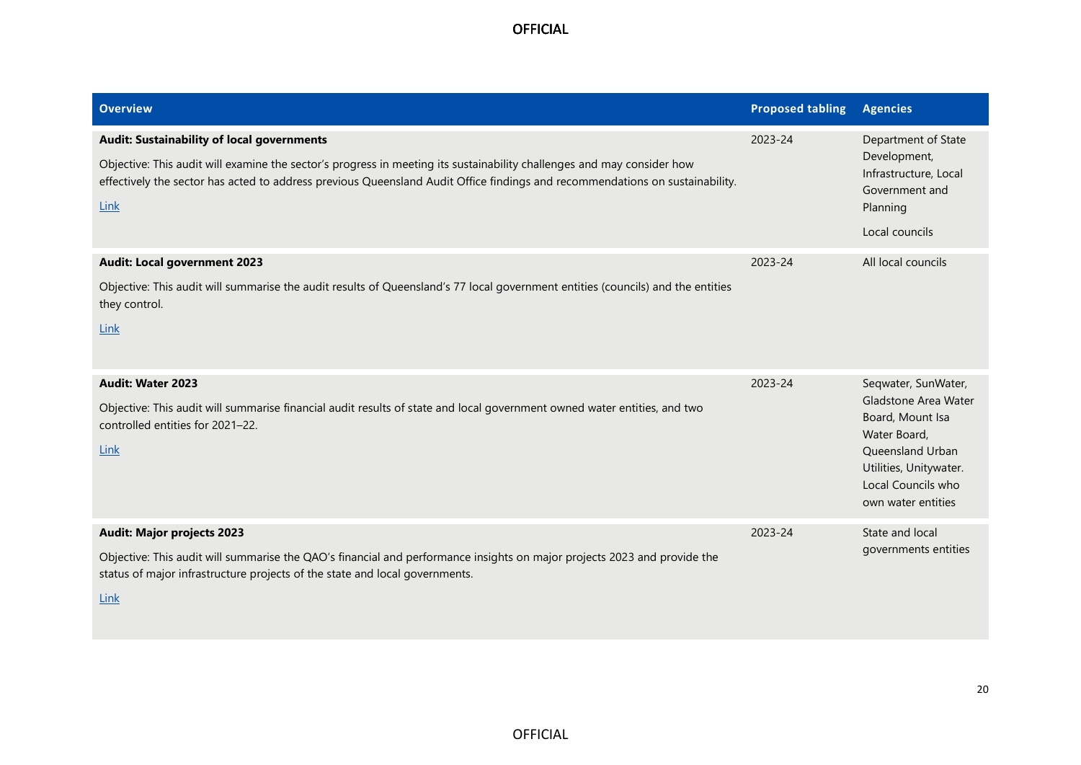| <b>Overview</b>                                                                                                                                                                                                                                                                                                            | <b>Proposed tabling</b> | <b>Agencies</b>                                                                                                                                                           |
|----------------------------------------------------------------------------------------------------------------------------------------------------------------------------------------------------------------------------------------------------------------------------------------------------------------------------|-------------------------|---------------------------------------------------------------------------------------------------------------------------------------------------------------------------|
| <b>Audit: Sustainability of local governments</b><br>Objective: This audit will examine the sector's progress in meeting its sustainability challenges and may consider how<br>effectively the sector has acted to address previous Queensland Audit Office findings and recommendations on sustainability.<br><b>Link</b> | 2023-24                 | Department of State<br>Development,<br>Infrastructure, Local<br>Government and<br>Planning<br>Local councils                                                              |
| <b>Audit: Local government 2023</b><br>Objective: This audit will summarise the audit results of Queensland's 77 local government entities (councils) and the entities<br>they control.<br>Link                                                                                                                            | 2023-24                 | All local councils                                                                                                                                                        |
| Audit: Water 2023<br>Objective: This audit will summarise financial audit results of state and local government owned water entities, and two<br>controlled entities for 2021-22.<br>Link                                                                                                                                  | 2023-24                 | Seqwater, SunWater,<br>Gladstone Area Water<br>Board, Mount Isa<br>Water Board,<br>Queensland Urban<br>Utilities, Unitywater.<br>Local Councils who<br>own water entities |
| <b>Audit: Major projects 2023</b><br>Objective: This audit will summarise the QAO's financial and performance insights on major projects 2023 and provide the<br>status of major infrastructure projects of the state and local governments.<br><b>Link</b>                                                                | 2023-24                 | State and local<br>governments entities                                                                                                                                   |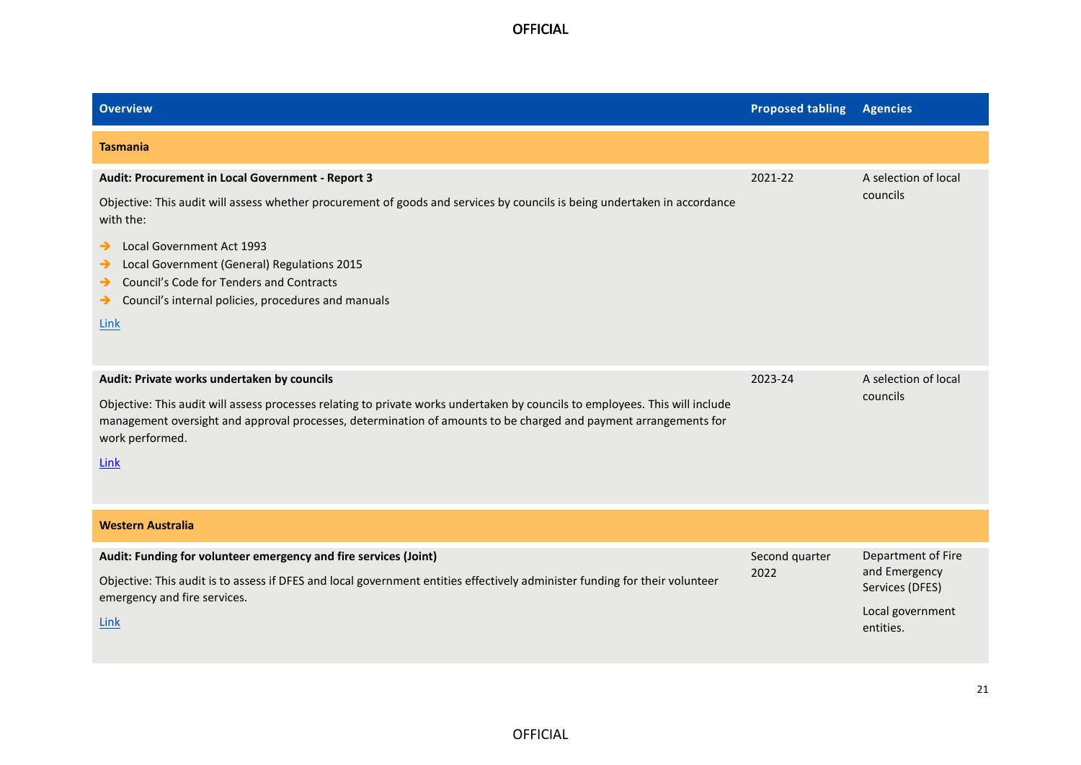| <b>Overview</b>                                                                                                                                                                                                                                                                                                                                                                                        | <b>Proposed tabling</b> | <b>Agencies</b>                                                                         |
|--------------------------------------------------------------------------------------------------------------------------------------------------------------------------------------------------------------------------------------------------------------------------------------------------------------------------------------------------------------------------------------------------------|-------------------------|-----------------------------------------------------------------------------------------|
| <b>Tasmania</b>                                                                                                                                                                                                                                                                                                                                                                                        |                         |                                                                                         |
| Audit: Procurement in Local Government - Report 3<br>Objective: This audit will assess whether procurement of goods and services by councils is being undertaken in accordance<br>with the:<br>Local Government Act 1993<br>→<br>Local Government (General) Regulations 2015<br>→<br>Council's Code for Tenders and Contracts<br>→<br>Council's internal policies, procedures and manuals<br>→<br>Link | 2021-22                 | A selection of local<br>councils                                                        |
| Audit: Private works undertaken by councils<br>Objective: This audit will assess processes relating to private works undertaken by councils to employees. This will include<br>management oversight and approval processes, determination of amounts to be charged and payment arrangements for<br>work performed.<br><b>Link</b>                                                                      | 2023-24                 | A selection of local<br>councils                                                        |
| <b>Western Australia</b>                                                                                                                                                                                                                                                                                                                                                                               |                         |                                                                                         |
| Audit: Funding for volunteer emergency and fire services (Joint)<br>Objective: This audit is to assess if DFES and local government entities effectively administer funding for their volunteer<br>emergency and fire services.<br>Link                                                                                                                                                                | Second quarter<br>2022  | Department of Fire<br>and Emergency<br>Services (DFES)<br>Local government<br>entities. |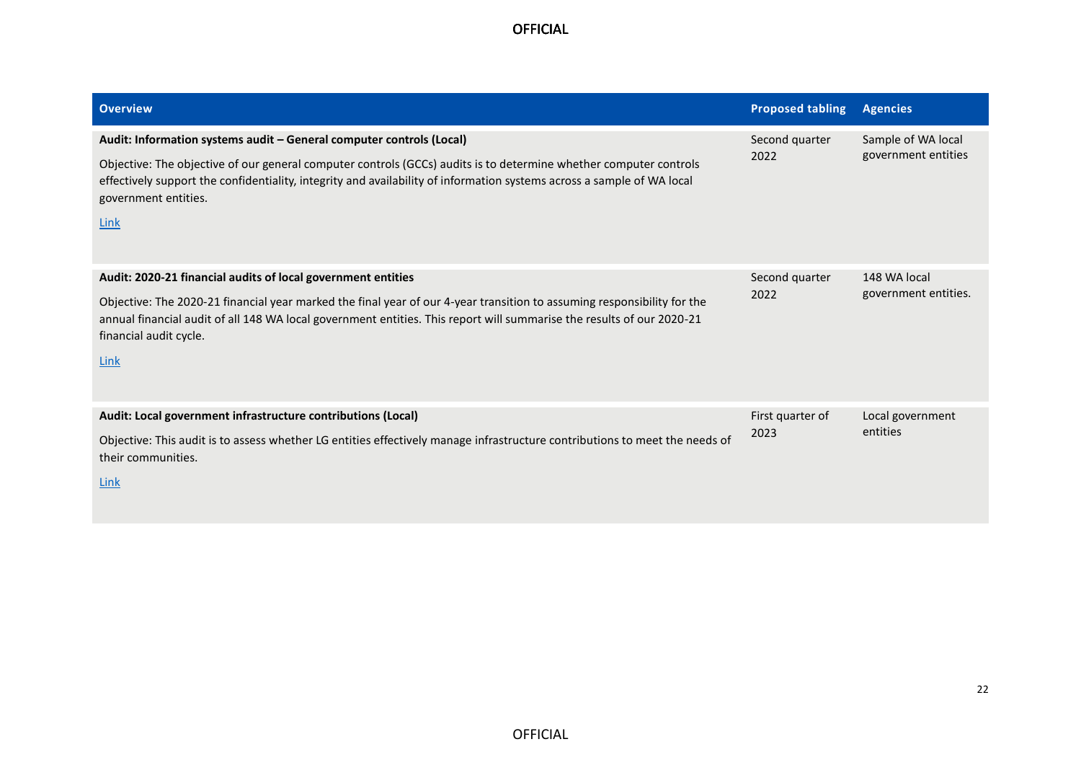| <b>Overview</b>                                                                                                                                                                                                                                                                                                                                            | <b>Proposed tabling</b>  | <b>Agencies</b>                           |
|------------------------------------------------------------------------------------------------------------------------------------------------------------------------------------------------------------------------------------------------------------------------------------------------------------------------------------------------------------|--------------------------|-------------------------------------------|
| Audit: Information systems audit - General computer controls (Local)<br>Objective: The objective of our general computer controls (GCCs) audits is to determine whether computer controls<br>effectively support the confidentiality, integrity and availability of information systems across a sample of WA local<br>government entities.<br><b>Link</b> | Second quarter<br>2022   | Sample of WA local<br>government entities |
| Audit: 2020-21 financial audits of local government entities<br>Objective: The 2020-21 financial year marked the final year of our 4-year transition to assuming responsibility for the<br>annual financial audit of all 148 WA local government entities. This report will summarise the results of our 2020-21<br>financial audit cycle.<br>Link         | Second quarter<br>2022   | 148 WA local<br>government entities.      |
| Audit: Local government infrastructure contributions (Local)<br>Objective: This audit is to assess whether LG entities effectively manage infrastructure contributions to meet the needs of<br>their communities.<br>Link                                                                                                                                  | First quarter of<br>2023 | Local government<br>entities              |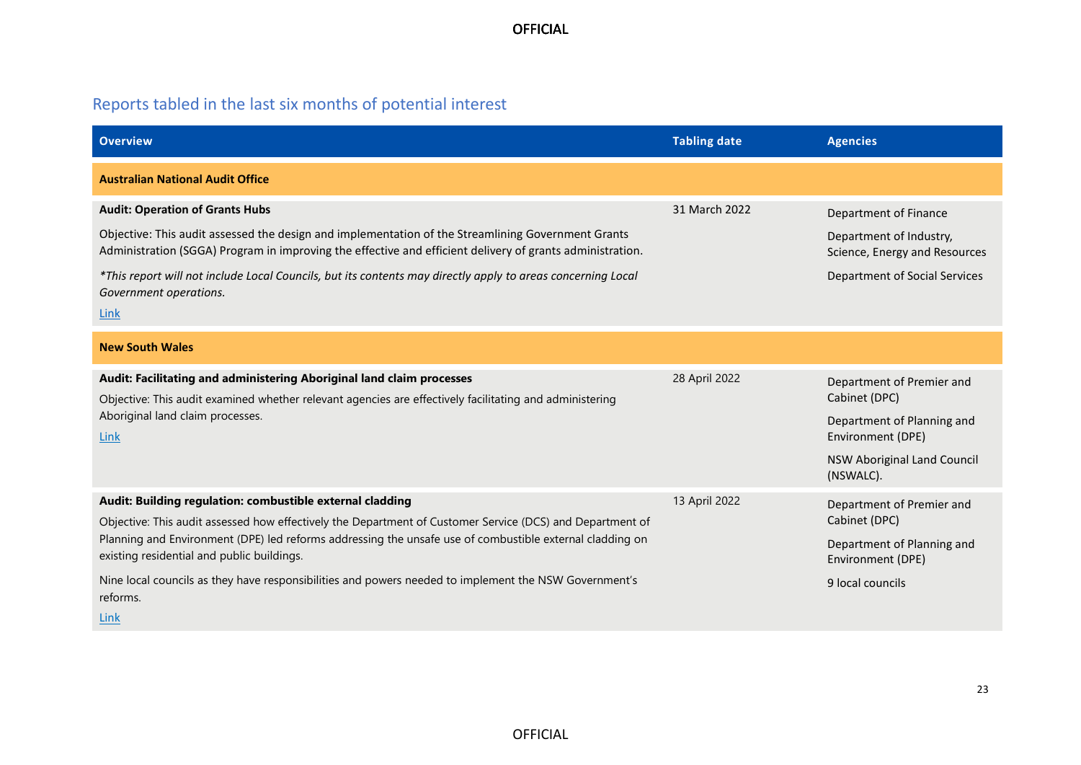# Reports tabled in the last six months of potential interest

| <b>Overview</b>                                                                                                                                                                                                 | <b>Tabling date</b> | <b>Agencies</b>                                          |
|-----------------------------------------------------------------------------------------------------------------------------------------------------------------------------------------------------------------|---------------------|----------------------------------------------------------|
| <b>Australian National Audit Office</b>                                                                                                                                                                         |                     |                                                          |
| <b>Audit: Operation of Grants Hubs</b>                                                                                                                                                                          | 31 March 2022       | Department of Finance                                    |
| Objective: This audit assessed the design and implementation of the Streamlining Government Grants<br>Administration (SGGA) Program in improving the effective and efficient delivery of grants administration. |                     | Department of Industry,<br>Science, Energy and Resources |
| *This report will not include Local Councils, but its contents may directly apply to areas concerning Local<br>Government operations.                                                                           |                     | Department of Social Services                            |
| Link                                                                                                                                                                                                            |                     |                                                          |
| <b>New South Wales</b>                                                                                                                                                                                          |                     |                                                          |
| Audit: Facilitating and administering Aboriginal land claim processes                                                                                                                                           | 28 April 2022       | Department of Premier and                                |
| Objective: This audit examined whether relevant agencies are effectively facilitating and administering                                                                                                         |                     | Cabinet (DPC)                                            |
| Aboriginal land claim processes.<br>Link                                                                                                                                                                        |                     | Department of Planning and<br>Environment (DPE)          |
|                                                                                                                                                                                                                 |                     | NSW Aboriginal Land Council<br>(NSWALC).                 |
| Audit: Building regulation: combustible external cladding                                                                                                                                                       | 13 April 2022       | Department of Premier and                                |
| Objective: This audit assessed how effectively the Department of Customer Service (DCS) and Department of                                                                                                       |                     | Cabinet (DPC)                                            |
| Planning and Environment (DPE) led reforms addressing the unsafe use of combustible external cladding on<br>existing residential and public buildings.                                                          |                     | Department of Planning and<br>Environment (DPE)          |
| Nine local councils as they have responsibilities and powers needed to implement the NSW Government's<br>reforms.                                                                                               |                     | 9 local councils                                         |
| Link                                                                                                                                                                                                            |                     |                                                          |

23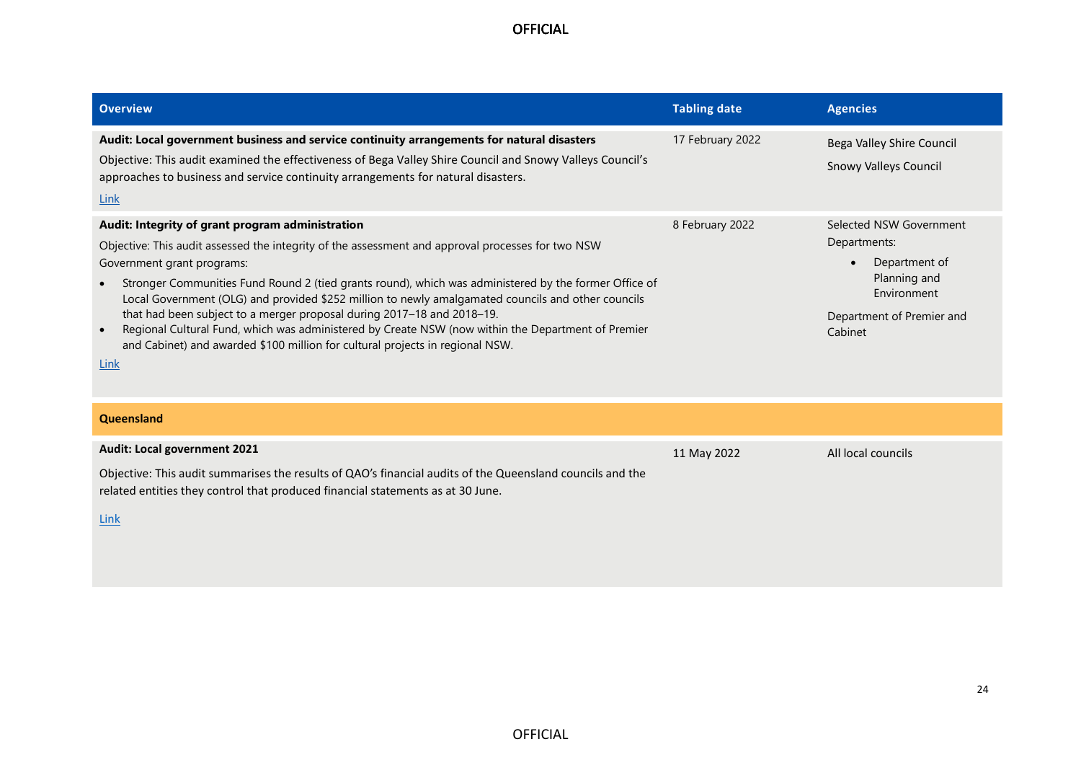| <b>Overview</b>                                                                                                                                                                                                                                                                                                                                                                                                                                                                                                                                                                                                                                                                                       | <b>Tabling date</b> | <b>Agencies</b>                                                                                                                              |
|-------------------------------------------------------------------------------------------------------------------------------------------------------------------------------------------------------------------------------------------------------------------------------------------------------------------------------------------------------------------------------------------------------------------------------------------------------------------------------------------------------------------------------------------------------------------------------------------------------------------------------------------------------------------------------------------------------|---------------------|----------------------------------------------------------------------------------------------------------------------------------------------|
| Audit: Local government business and service continuity arrangements for natural disasters<br>Objective: This audit examined the effectiveness of Bega Valley Shire Council and Snowy Valleys Council's<br>approaches to business and service continuity arrangements for natural disasters.<br>Link                                                                                                                                                                                                                                                                                                                                                                                                  | 17 February 2022    | Bega Valley Shire Council<br><b>Snowy Valleys Council</b>                                                                                    |
| Audit: Integrity of grant program administration<br>Objective: This audit assessed the integrity of the assessment and approval processes for two NSW<br>Government grant programs:<br>Stronger Communities Fund Round 2 (tied grants round), which was administered by the former Office of<br>$\bullet$<br>Local Government (OLG) and provided \$252 million to newly amalgamated councils and other councils<br>that had been subject to a merger proposal during 2017-18 and 2018-19.<br>Regional Cultural Fund, which was administered by Create NSW (now within the Department of Premier<br>$\bullet$<br>and Cabinet) and awarded \$100 million for cultural projects in regional NSW.<br>Link | 8 February 2022     | Selected NSW Government<br>Departments:<br>Department of<br>$\bullet$<br>Planning and<br>Environment<br>Department of Premier and<br>Cabinet |
| Queensland                                                                                                                                                                                                                                                                                                                                                                                                                                                                                                                                                                                                                                                                                            |                     |                                                                                                                                              |
| Audit: Local government 2021<br>Objective: This audit summarises the results of QAO's financial audits of the Queensland councils and the<br>related entities they control that produced financial statements as at 30 June.<br>Link                                                                                                                                                                                                                                                                                                                                                                                                                                                                  | 11 May 2022         | All local councils                                                                                                                           |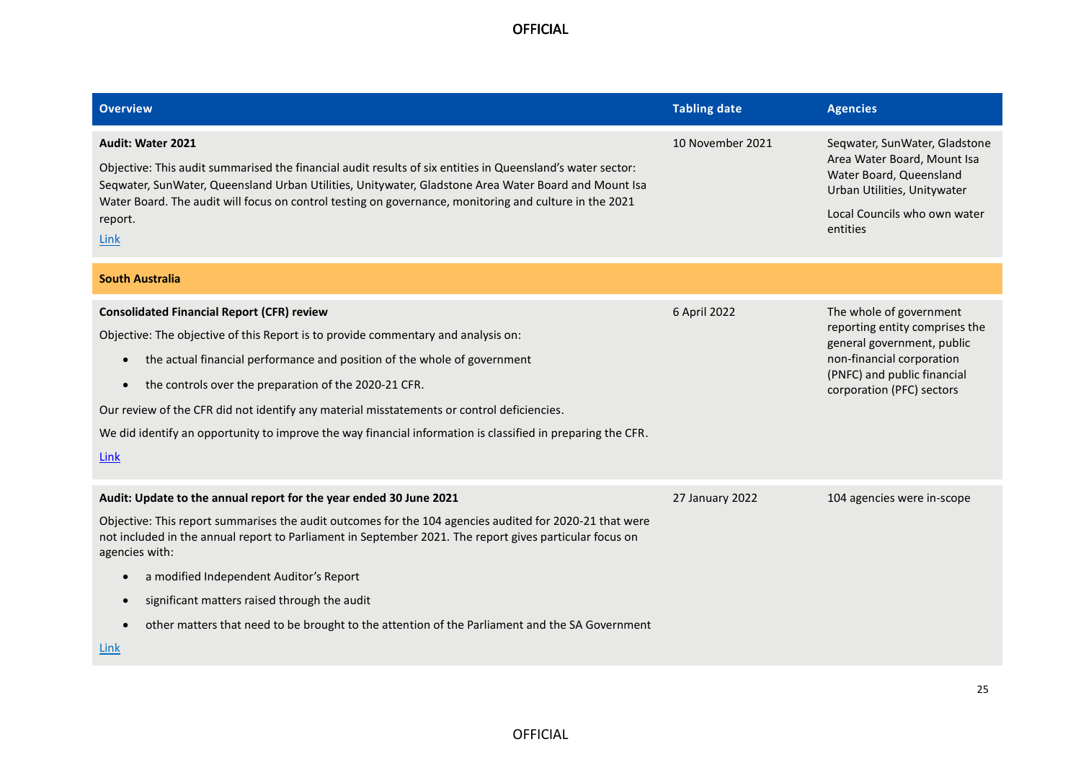| <b>Overview</b>                                                                                                                                                                                                                                                                                                                                                                                                                                                                                                 | <b>Tabling date</b> | <b>Agencies</b>                                                                                                                                                                  |
|-----------------------------------------------------------------------------------------------------------------------------------------------------------------------------------------------------------------------------------------------------------------------------------------------------------------------------------------------------------------------------------------------------------------------------------------------------------------------------------------------------------------|---------------------|----------------------------------------------------------------------------------------------------------------------------------------------------------------------------------|
| <b>Audit: Water 2021</b><br>Objective: This audit summarised the financial audit results of six entities in Queensland's water sector:<br>Seqwater, SunWater, Queensland Urban Utilities, Unitywater, Gladstone Area Water Board and Mount Isa<br>Water Board. The audit will focus on control testing on governance, monitoring and culture in the 2021<br>report.<br>Link                                                                                                                                     | 10 November 2021    | Seqwater, SunWater, Gladstone<br>Area Water Board, Mount Isa<br>Water Board, Queensland<br>Urban Utilities, Unitywater<br>Local Councils who own water<br>entities               |
| <b>South Australia</b>                                                                                                                                                                                                                                                                                                                                                                                                                                                                                          |                     |                                                                                                                                                                                  |
| <b>Consolidated Financial Report (CFR) review</b><br>Objective: The objective of this Report is to provide commentary and analysis on:<br>the actual financial performance and position of the whole of government<br>the controls over the preparation of the 2020-21 CFR.<br>$\bullet$<br>Our review of the CFR did not identify any material misstatements or control deficiencies.<br>We did identify an opportunity to improve the way financial information is classified in preparing the CFR.<br>Link   | 6 April 2022        | The whole of government<br>reporting entity comprises the<br>general government, public<br>non-financial corporation<br>(PNFC) and public financial<br>corporation (PFC) sectors |
| Audit: Update to the annual report for the year ended 30 June 2021<br>Objective: This report summarises the audit outcomes for the 104 agencies audited for 2020-21 that were<br>not included in the annual report to Parliament in September 2021. The report gives particular focus on<br>agencies with:<br>a modified Independent Auditor's Report<br>significant matters raised through the audit<br>other matters that need to be brought to the attention of the Parliament and the SA Government<br>Link | 27 January 2022     | 104 agencies were in-scope                                                                                                                                                       |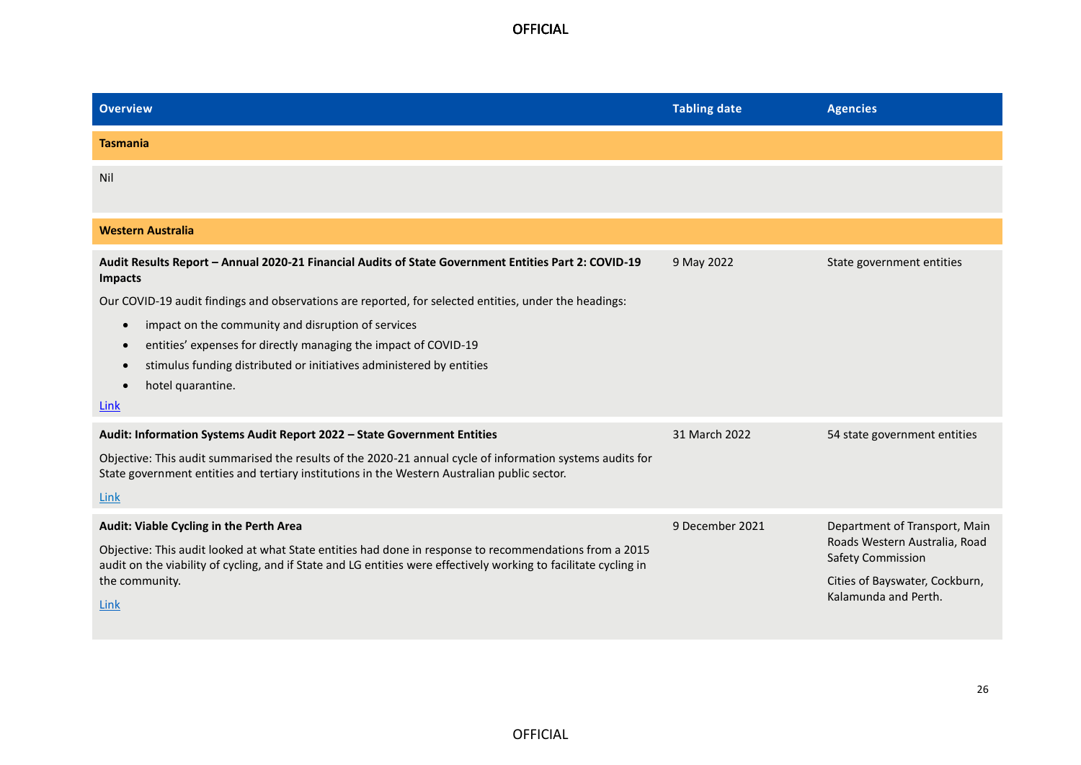| <b>Overview</b>                                                                                                                                                                                            | <b>Tabling date</b> | <b>Agencies</b>                                    |
|------------------------------------------------------------------------------------------------------------------------------------------------------------------------------------------------------------|---------------------|----------------------------------------------------|
| <b>Tasmania</b>                                                                                                                                                                                            |                     |                                                    |
| Nil                                                                                                                                                                                                        |                     |                                                    |
|                                                                                                                                                                                                            |                     |                                                    |
| <b>Western Australia</b>                                                                                                                                                                                   |                     |                                                    |
| Audit Results Report - Annual 2020-21 Financial Audits of State Government Entities Part 2: COVID-19<br><b>Impacts</b>                                                                                     | 9 May 2022          | State government entities                          |
| Our COVID-19 audit findings and observations are reported, for selected entities, under the headings:                                                                                                      |                     |                                                    |
| impact on the community and disruption of services<br>$\bullet$                                                                                                                                            |                     |                                                    |
| entities' expenses for directly managing the impact of COVID-19<br>$\bullet$                                                                                                                               |                     |                                                    |
| stimulus funding distributed or initiatives administered by entities<br>$\bullet$                                                                                                                          |                     |                                                    |
| hotel quarantine.<br>$\bullet$                                                                                                                                                                             |                     |                                                    |
| <b>Link</b>                                                                                                                                                                                                |                     |                                                    |
| Audit: Information Systems Audit Report 2022 - State Government Entities                                                                                                                                   | 31 March 2022       | 54 state government entities                       |
| Objective: This audit summarised the results of the 2020-21 annual cycle of information systems audits for<br>State government entities and tertiary institutions in the Western Australian public sector. |                     |                                                    |
| Link                                                                                                                                                                                                       |                     |                                                    |
| Audit: Viable Cycling in the Perth Area                                                                                                                                                                    | 9 December 2021     | Department of Transport, Main                      |
| Objective: This audit looked at what State entities had done in response to recommendations from a 2015                                                                                                    |                     | Roads Western Australia, Road<br>Safety Commission |
| audit on the viability of cycling, and if State and LG entities were effectively working to facilitate cycling in<br>the community.                                                                        |                     | Cities of Bayswater, Cockburn,                     |
| Link                                                                                                                                                                                                       |                     | Kalamunda and Perth.                               |
|                                                                                                                                                                                                            |                     |                                                    |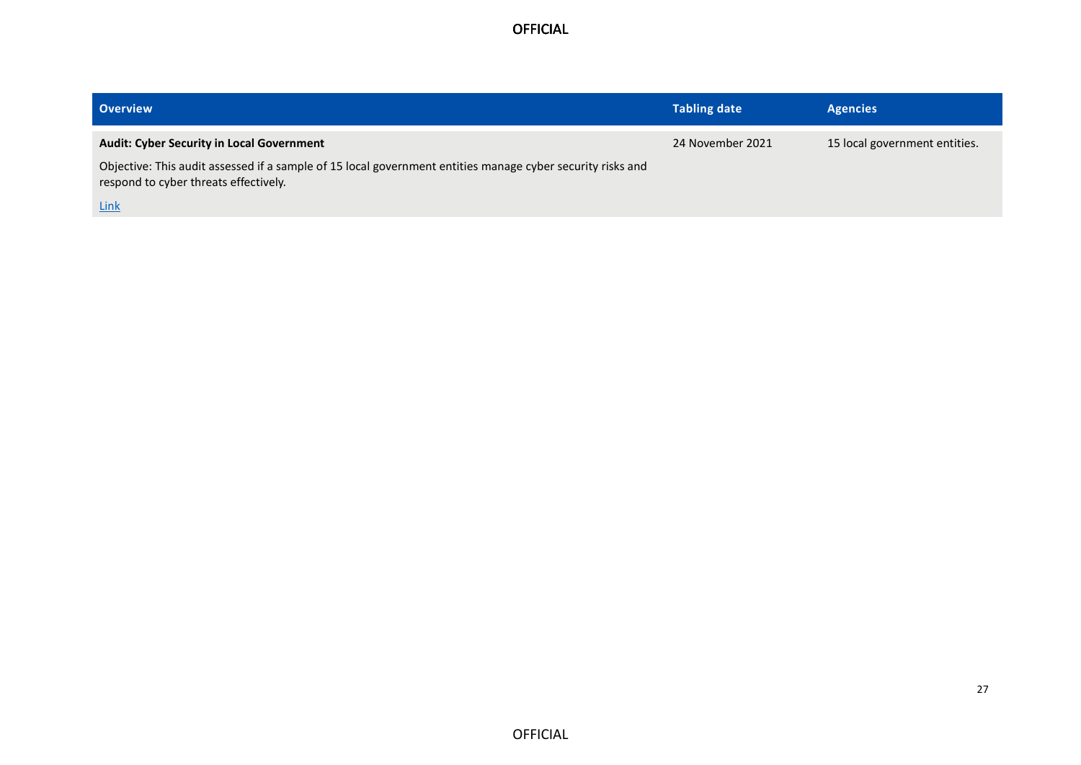| <b>Overview</b>                                                                                                                                     | <b>Tabling date</b> | <b>Agencies</b>               |
|-----------------------------------------------------------------------------------------------------------------------------------------------------|---------------------|-------------------------------|
| <b>Audit: Cyber Security in Local Government</b>                                                                                                    | 24 November 2021    | 15 local government entities. |
| Objective: This audit assessed if a sample of 15 local government entities manage cyber security risks and<br>respond to cyber threats effectively. |                     |                               |
| <b>Link</b>                                                                                                                                         |                     |                               |